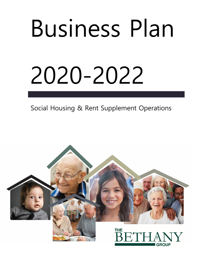# Business Plan 2020-2022

Social Housing & Rent Supplement Operations

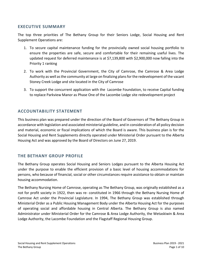# **EXECUTIVE SUMMARY**

The top three priorities of The Bethany Group for their Seniors Lodge, Social Housing and Rent Supplement Operations are:

- 1. To secure capital maintenance funding for the provincially owned social housing portfolio to ensure the properties are safe, secure and comfortable for their remaining useful lives. The updated request for deferred maintenance is at \$7,139,800 with \$2,900,000 now falling into the Priority 1 ranking
- 2. To work with the Provincial Government, the City of Camrose, the Camrose & Area Lodge Authority as well as the community at large on finalizing plans for the redevelopment of the vacant Stoney Creek Lodge and site located in the City of Camrose
- 3. To support the concurrent application with the Lacombe Foundation, to receive Capital funding to replace Parkview Manor as Phase One of the Lacombe Lodge site redevelopment project

# **ACCOUNTABILITY STATEMENT**

This business plan was prepared under the direction of the Board of Governors of The Bethany Group in accordance with legislation and associated ministerial guideline, and in consideration of all policy decision and material, economic or fiscal implications of which the Board is aware. This business plan is for the Social Housing and Rent Supplements directly operated under Ministerial Order pursuant to the Alberta Housing Act and was approved by the Board of Directors on June 27, 2019.

# **THE BETHANY GROUP PROFILE**

The Bethany Group operates Social Housing and Seniors Lodges pursuant to the Alberta Housing Act under the purpose to enable the efficient provision of a basic level of housing accommodations for persons, who because of financial, social or other circumstances require assistance to obtain or maintain housing accommodation.

The Bethany Nursing Home of Camrose, operating as The Bethany Group, was originally established as a not for profit society in 1922, then was re- constituted in 1966 through the Bethany Nursing Home of Camrose Act under the Provincial Legislature. In 1994, The Bethany Group was established through Ministerial Order as a Public Housing Management Body under the Alberta Housing Act for the purposes of operating social and affordable housing in Central Alberta. The Bethany Group is also named Administrator under Ministerial Order for the Camrose & Area Lodge Authority, the Wetaskiwin & Area Lodge Authority, the Lacombe Foundation and the Flagstaff Regional Housing Group.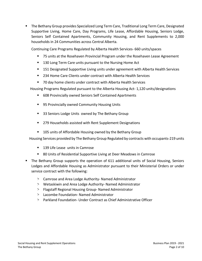The Bethany Group provides Specialized Long Term Care, Traditional Long Term Care, Designated Supportive Living, Home Care, Day Programs, Life Lease, Affordable Housing, Seniors Lodge, Seniors Self Contained Apartments, Community Housing, and Rent Supplements to 2,000 households in 24 Communities across Central Alberta.

Continuing Care Programs Regulated by Alberta Health Services- 660 units/spaces

- 75 units at the Rosehaven Provincial Program under the Rosehaven Lease Agreement
- 130 Long Term Care units pursuant to the Nursing Home Act
- 151 Designated Supportive Living units under agreement with Alberta Health Services
- 234 Home Care Clients under contract with Alberta Health Services
- 70 day home clients under contract with Alberta Health Services

Housing Programs Regulated pursuant to the Alberta Housing Act- 1,120 units/designations

- 608 Provincially owned Seniors Self Contained Apartments
- 95 Provincially owned Community Housing Units
- 33 Seniors Lodge Units owned by The Bethany Group
- 279 Households assisted with Rent Supplement Designations
- 105 units of Affordable Housing owned by the Bethany Group

Housing Services provided by The Bethany Group Regulated by contracts with occupants-219 units

- 139 Life Lease units in Camrose
- 80 Units of Residential Supportive Living at Deer Meadows in Camrose
- The Bethany Group supports the operation of 611 additional units of Social Housing, Seniors Lodges and Affordable Housing as Administrator pursuant to their Ministerial Orders or under service contract with the following:
	- > Camrose and Area Lodge Authority- Named Administrator
	- > Wetaskiwin and Area Lodge Authority- Named Administrator
	- > Flagstaff Regional Housing Group- Named Administrator
	- > Lacombe Foundation- Named Administrator
	- > Parkland Foundation- Under Contract as Chief Administrative Officer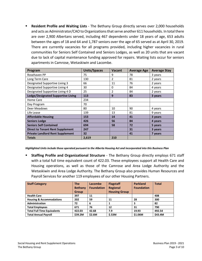**Resident Profile and Waiting Lists** - The Bethany Group directly serves over 2,000 households and acts as Administrator/CAO to Organizations that serve another 611 households. In total there are over 2,900 Albertans served, including 467 dependents under 18 years of age, 653 adults between the ages of 18 and 64 and 1,787 seniors over the age of 65 served as at April 30, 2019. There are currently vacancies for all programs provided, including higher vacancies in rural communities for Seniors Self Contained and Seniors Lodges, as well as 20 units that are vacant due to lack of capital maintenance funding approved for repairs. Waiting lists occur for seniors apartments in Camrose, Wetaskiwin and Lacombe.

| Program                                   | <b>Units/Spaces</b> | <b>Vacant</b> | <b>Average Age</b> | <b>Average Stay</b> |
|-------------------------------------------|---------------------|---------------|--------------------|---------------------|
| Rosehaven PP                              | 75                  | 9             | 78                 | 3 years             |
| Long Term Care                            | 130                 | 2             | 81                 | 2 years             |
| Designated Supportive Living 3            | 66                  | 11            | 76                 | 2 years             |
| Designated Supportive Living 4            | 30                  | 0             | 84                 | 4 years             |
| Designated Supportive Living 4 D          | 25                  | 2             | 84                 | 2 years             |
| <b>Lodge/Designated Supportive Living</b> | 113                 | 9             | 83                 | 3 years             |
| Home Care                                 | 234                 |               |                    |                     |
| Day Program                               | 70                  |               |                    |                     |
| Deer Meadows                              | 80                  | 10            | 90                 | 4 years             |
| Life Lease                                | 139                 | 13            | 81                 | 9 years             |
| <b>Affordable Housing</b>                 | 153                 | 14            | 41                 | 3 years             |
| <b>Seniors Lodge</b>                      | 426                 | 56            | 84                 | 4 years             |
| <b>Seniors Self Contained</b>             | 694                 | 58            | 72                 | 5 years             |
| <b>Direct to Tenant Rent Supplement</b>   | 247                 |               | 31                 | 3 years             |
| <b>Private Landlord Rent Supplement</b>   | 32                  |               | 41                 | 7 years             |
| <b>Totals</b>                             | 2,619               | 210           |                    |                     |

*Highlighted Units include those operated pursuant to the Alberta Housing Act and incorporated into this Business Plan*

 **Staffing Profile and Organizational Structure** - The Bethany Group directly employs 671 staff with a total full time equivalent count of 422.03. These employees support all Health Care and Housing operations, as well as those of the Camrose and Area Lodge Authority and the Wetaskiwin and Area Lodge Authority. The Bethany Group also provides Human Resources and Payroll Services for another 119 employees of our other Housing Partners.

| <b>Staff Category</b>               | <b>The</b><br><b>Bethany</b><br><b>Group</b> | Lacombe<br><b>Foundation</b> | <b>Flagstaff</b><br><b>Regional</b><br><b>Housing Group</b> | <b>Parkland</b><br><b>Foundation</b> | <b>Total</b> |
|-------------------------------------|----------------------------------------------|------------------------------|-------------------------------------------------------------|--------------------------------------|--------------|
| <b>Health Care</b>                  | 397                                          | 11                           |                                                             |                                      | 408          |
| <b>Housing &amp; Accommodations</b> | 202                                          | 59                           | 11                                                          | 28                                   | 300          |
| <b>Administration</b>               | 72                                           | 6                            | 1                                                           | 3                                    | 82           |
| <b>Total Employees</b>              | 671                                          | 76                           | 12                                                          | 31                                   | 790          |
| <b>Total Full Time Equivalents</b>  | 422.03                                       | 42.68                        | 7.9                                                         | 19.93                                | 492.54       |
| <b>Total Annual Payroll</b>         | \$39.2M                                      | \$2.6M                       | \$.53M                                                      | \$1.06M                              | \$43.4M      |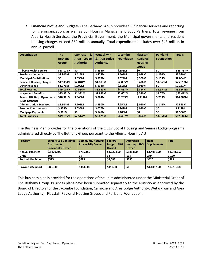**Financial Profile and Budgets** - The Bethany Group provides full financial services and reporting for the organization, as well as our Housing Management Body Partners. Total revenue from Alberta Health Services, the Provincial Government, the Municipal governments and resident housing charges exceed \$62 million annually. Total expenditures includes over \$43 million in annual payroll.

| <b>Organization</b>             | <b>The</b>     | $\mathbf{g}$<br><b>Camrose</b> | <b>Wetaskiwin</b> | Lacombe           | <b>Flagstaff</b> | <b>Parkland</b>   | <b>Totals</b>    |
|---------------------------------|----------------|--------------------------------|-------------------|-------------------|------------------|-------------------|------------------|
|                                 | <b>Bethany</b> | Lodge<br>Area                  | & Area Lodge      | <b>Foundation</b> | <b>Regional</b>  | <b>Foundation</b> |                  |
|                                 | <b>Group</b>   | <b>Authority</b>               | <b>Authority</b>  |                   | <b>Housing</b>   |                   |                  |
|                                 |                |                                |                   |                   | <b>Group</b>     |                   |                  |
| <b>Alberta Health Service</b>   | \$28.178M      | \$0                            | <b>S.236M</b>     | \$.353M           | \$0              | \$0               | <b>\$28.767M</b> |
| <b>Province of Alberta</b>      | \$1.907M       | <b>S.415M</b>                  | <b>S.478M</b>     | \$.507M           | \$.058M          | <b>S.234M</b>     | \$3.599M         |
| <b>Municipal Contributions</b>  | \$0            | \$.050M                        | <b>S.875M</b>     | \$.624M           | \$.300M          | \$.155M           | \$2.004M         |
| <b>Resident Housing Charges</b> | \$17.054M      | \$2.040M                       | \$1.893M          | \$2.885M          | <b>S.476M</b>    | \$1.565M          | \$25.913M        |
| <b>Other Revenue</b>            | \$1.976M       | \$.009M                        | \$.138M           | <b>S.118M</b>     | <b>S.020M</b>    | \$0               | \$2.261M         |
| <b>Total Revenue</b>            | \$49.115M      | \$2.514M                       | \$3.620M          | \$4.487M          | \$.854M          | \$1.954M          | \$62.544M        |
| <b>Wages and Benefits</b>       | \$35.931M      | \$1.332M                       | \$1.950M          | \$2.602M          | \$.530M          | \$1.07M           | \$43.412M        |
| Taxes, Utilities, Operations    | \$10.371M      | \$.946M                        | <b>S.824M</b>     | \$1.289M          | \$.214M          | \$.739M           | \$14.383M        |
| & Maintenance                   |                |                                |                   |                   |                  |                   |                  |
| <b>Administration Expenses</b>  | \$1.604M       | S.201M                         | <b>S.230M</b>     | <b>S.254M</b>     | \$.090M          | \$.144M           | \$2.523M         |
| <b>Reserve Contributions</b>    | \$.338M        | \$.035M                        | \$.076M           | <b>S.242M</b>     | \$.020M          | \$0               | <b>S.711M</b>    |
| <b>Mortgage Payments</b>        | \$.911M        | \$0                            | \$.545M           | \$.100M           | \$0              | \$0               | \$1.556M         |
| <b>Total Expenses</b>           | \$49.155M      | \$2.514M                       | \$3.625M          | \$4.487M          | <b>S.854M</b>    | \$1.954M          | \$62.585M        |

The Business Plan provides for the operations of the 1,117 Social Housing and Seniors Lodge programs administered directly by The Bethany Group pursuant to the Alberta Housing Act

| Program                   | <b>Seniors Self Contained</b><br><b>Apartments</b><br><b>Provincially Owned</b> | <b>Community Housing</b><br><b>Provincially Owned</b> | <b>Seniors</b><br>Lodge<br><b>TBG</b><br>Owned | <b>Affordable</b><br><b>Housing TBG</b><br>Owned | Rent<br><b>Supplements</b> | <b>Total</b> |
|---------------------------|---------------------------------------------------------------------------------|-------------------------------------------------------|------------------------------------------------|--------------------------------------------------|----------------------------|--------------|
| <b>Annual Expenses</b>    | \$3,829,700                                                                     | \$795.150                                             | \$1,022,800                                    | \$988,850                                        | \$1,405,150                | \$8,041,650  |
| <b>Units</b>              | 608                                                                             | 95                                                    | 33                                             | 105                                              | 279                        | 1,120        |
| <b>Per Unit Per Month</b> | \$525                                                                           | \$698                                                 | \$2,583                                        | \$785                                            | \$420                      | \$598        |
|                           |                                                                                 |                                                       |                                                |                                                  |                            |              |
| <b>Provincial Support</b> | \$86,330                                                                        | \$314,600                                             | \$110,000                                      | \$0                                              | \$1,405,150                | \$1,916,080  |

This business plan is provided for the operations of the units administered under the Ministerial Order of The Bethany Group. Business plans have been submitted separately to the Ministry as approved by the Board of Directors for the Lacombe Foundation, Camrose and Area Lodge Authority, Wetaskiwin and Area Lodge Authority, Flagstaff Regional Housing Group, and Parkland Foundation.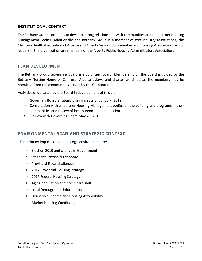# **INSTITUTIONAL CONTEXT**

The Bethany Group continues to develop strong relationships with communities and the partner Housing Management Bodies. Additionally, the Bethany Group is a member of two industry associations; the Christian Health Association of Alberta and Alberta Seniors Communities and Housing Association. Senior leaders in the organization are members of the Alberta Public Housing Administrators Association.

# **PLAN DEVELOPMENT**

The Bethany Group Governing Board is a volunteer board. Membership on the board is guided by the Bethany Nursing Home of Camrose, Alberta bylaws and charter which states the members may be recruited from the communities served by the Corporation.

Activities undertaken by the Board in development of this plan:

- > Governing Board Strategic planning session January 2019
- > Consultation with all partner Housing Management bodies on the building and programs in their communities and review of local support documentation
- > Review with Governing Board May 23, 2019

# **ENVIRONMENTAL SCAN AND STRATEGIC CONTEXT**

The primary impacts on our strategic environment are:

- > Election 2019 and change in Government
- > Stagnant Provincial Economy
- > Provincial Fiscal challenges
- > 2017 Provincial Housing Strategy
- > 2017 Federal Housing Strategy
- > Aging population and home care shift
- > Local Demographic Information
- > Household Income and Housing Affordability
- > Market Housing Conditions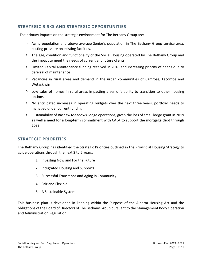# **STRATEGIC RISKS AND STRATEGIC OPPORTUNITIES**

The primary impacts on the strategic environment for The Bethany Group are:

- > Aging population and above average Senior's population in The Bethany Group service area, putting pressure on existing facilities.
- > The age, condition and functionality of the Social Housing operated by The Bethany Group and the impact to meet the needs of current and future clients
- > Limited Capital Maintenance funding received in 2018 and increasing priority of needs due to deferral of maintenance
- > Vacancies in rural areas and demand in the urban communities of Camrose, Lacombe and Wetaskiwin
- > Low sales of homes in rural areas impacting a senior's ability to transition to other housing options
- > No anticipated increases in operating budgets over the next three years, portfolio needs to managed under current funding
- > Sustainability of Bashaw Meadows Lodge operations, given the loss of small lodge grant in 2019 as well a need for a long-term commitment with CALA to support the mortgage debt through 2033.

# **STRATEGIC PRIORITIES**

The Bethany Group has identified the Strategic Priorities outlined in the Provincial Housing Strategy to guide operations through the next 3 to 5 years:

- 1. Investing Now and For the Future
- 2. Integrated Housing and Supports
- 3. Successful Transitions and Aging in Community
- 4. Fair and Flexible
- 5. A Sustainable System

This business plan is developed in keeping within the Purpose of the Alberta Housing Act and the obligations of the Board of Directors of The Bethany Group pursuant to the Management Body Operation and Administration Regulation.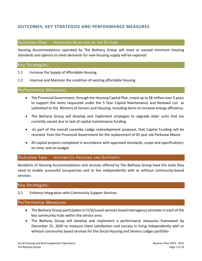# **OUTCOMES, KEY STRATEGIES AND PERFORMANCE MEASURES**

#### Outcome One: INVESTING NOW AND IN THE FUTURE

Housing Accommodations operated by The Bethany Group will meet or exceed minimum housing standards and options to meet demands for new housing supply will be explored

## Key Strategies:

- 1.1 Increase the Supply of Affordable Housing
- 1.2 Improve and Maintain the condition of existing affordable housing

#### Performance Measures.

- The Provincial Government, through the Housing Capital Plan, invest up to \$8 million over 5 years to support the items requested under the 5 Year Capital Maintenance and Renewal List as submitted to the Ministry of Seniors and Housing, including items to increase energy efficiency.
- The Bethany Group will develop and implement strategies to upgrade older units that are currently vacant due to lack of capital maintenance funding
- As part of the overall Lacombe Lodge redevelopment proposal, that Capital Funding will be received from the Provincial Government for the replacement of 45 year old Parkview Manor
- All capital projects completed in accordance with approved standards, scope and specifications; on time; and on budget.

#### Outcome Two: INTEGRATED HOUSING AND SUPPORTS

Residents of Housing Accommodations and services offered by The Bethany Group have the tools they need to enable successful occupancies and to live independently with or without community-based services.

## Key Strategies:

2.1 Enhance Integration with Community Support Services

#### Performance Measures

- The Bethany Group participates in FCSS/social services based interagency activities in each of the key community hubs within the service area.
- The Bethany Group will develop and implement a performance measures framework by December 31, 2020 to measure client satisfaction and success in living independently with or without community based services for the Social Housing and Seniors Lodges portfolio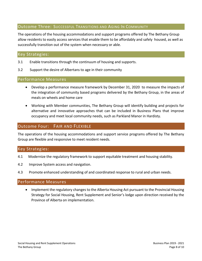# Outcome Three: SUCCESSFUL TRANSITIONS AND AGING IN COMMUNITY

The operations of the housing accommodations and support programs offered by The Bethany Group allow residents to easily access services that enable them to be affordably and safely housed, as well as successfully transition out of the system when necessary or able.

# Key Strategies:

- 3.1 Enable transitions through the continuum of housing and supports.
- 3.2 Support the desire of Albertans to age in their community

## Performance Measures

- Develop a performance measure framework by December 31, 2020 to measure the impacts of the integration of community based programs delivered by the Bethany Group, in the areas of meals on wheels and home care
- Working with Member communities, The Bethany Group will identify building and projects for alternative and innovative approaches that can be included in Business Plans that improve occupancy and meet local community needs, such as Parkland Manor in Hardisty.

# Outcome Four: FAIR AND FLEXIBLE

The operations of the housing accommodations and support service programs offered by The Bethany Group are flexible and responsive to meet resident needs.

# Key Strategies:

- 4.1 Modernize the regulatory framework to support equitable treatment and housing stability.
- 4.2 Improve System access and navigation.
- 4.3 Promote enhanced understanding of and coordinated response to rural and urban needs.

## Performance Measures

• Implement the regulatory changes to the Alberta Housing Act pursuant to the Provincial Housing Strategy for Social Housing, Rent Supplement and Senior's lodge upon direction received by the Province of Alberta on implementation.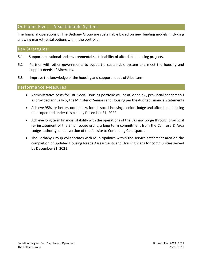# Outcome Five: A Sustainable System

The financial operations of The Bethany Group are sustainable based on new funding models, including allowing market rental options within the portfolio.

# Key Strategies:

- 5.1 Support operational and environmental sustainability of affordable housing projects.
- 5.2 Partner with other governments to support a sustainable system and meet the housing and support needs of Albertans.
- 5.3 Improve the knowledge of the housing and support needs of Albertans.

#### Performance Measures

- Administrative costs for TBG Social Housing portfolio will be at, or below, provincial benchmarks as provided annually by the Minister of Seniors and Housing per the Audited Financial statements
- Achieve 95%, or better, occupancy, for all social housing, seniors lodge and affordable housing units operated under this plan by December 31, 2022
- Achieve long term financial stability with the operations of the Bashaw Lodge through provincial re- instatement of the Small Lodge grant, a long term commitment from the Camrose & Area Lodge authority, or conversion of the full site to Continuing Care spaces
- The Bethany Group collaborates with Municipalities within the service catchment area on the completion of updated Housing Needs Assessments and Housing Plans for communities served by December 31, 2021.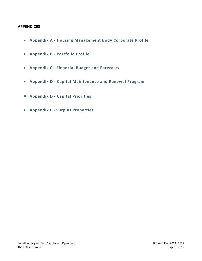## **APPENDICES**

- **Appendix A - Housing Management Body Corporate Profile**
- **Appendix B - Portfolio Profile**
- **Appendix C - Financial Budget and Forecasts**
- **Appendix D - Capital Maintenance and Renewal Program**
- **Appendix D - Capital Priorities**
- **Appendix F - Surplus Properties**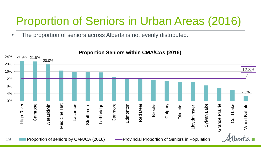# Proportion of Seniors in Urban Areas (2016)

The proportion of seniors across Alberta is not evenly distributed.



# **Proportion Seniors within CMA/CAs (2016)**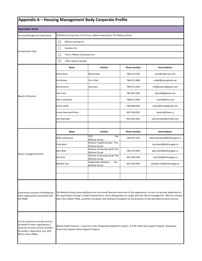| Appendix A - Housing Management Body Corporate Profile                                                                                                                          |                                           |                                                                                                                         |                     |                                                                                                                                                                                                                                                                     |
|---------------------------------------------------------------------------------------------------------------------------------------------------------------------------------|-------------------------------------------|-------------------------------------------------------------------------------------------------------------------------|---------------------|---------------------------------------------------------------------------------------------------------------------------------------------------------------------------------------------------------------------------------------------------------------------|
| <b>Organization details</b>                                                                                                                                                     |                                           |                                                                                                                         |                     |                                                                                                                                                                                                                                                                     |
| Housing Management Body Name                                                                                                                                                    |                                           | Bethany Nursing Home of Camrose, Alberta operating as The Bethany Group                                                 |                     |                                                                                                                                                                                                                                                                     |
|                                                                                                                                                                                 | ⊡<br>Alberta Housing Act                  |                                                                                                                         |                     |                                                                                                                                                                                                                                                                     |
|                                                                                                                                                                                 | ⊔<br>Societies Act                        |                                                                                                                         |                     |                                                                                                                                                                                                                                                                     |
| Incorporation type<br><b>Board of Directors</b>                                                                                                                                 | $\Box$<br>Part 9, Alberta Companies Act   |                                                                                                                         |                     |                                                                                                                                                                                                                                                                     |
|                                                                                                                                                                                 | ☑<br>Other (please specify)               |                                                                                                                         |                     |                                                                                                                                                                                                                                                                     |
|                                                                                                                                                                                 | Name                                      | Position                                                                                                                | <b>Phone Number</b> | <b>Email Address</b>                                                                                                                                                                                                                                                |
|                                                                                                                                                                                 | Odell Olson                               | <b>Board Chair</b>                                                                                                      | 780.672.0787        | droo@cable-lynx.net                                                                                                                                                                                                                                                 |
|                                                                                                                                                                                 | Ina Nielsen                               | Vice Chair                                                                                                              | 780.672.3683        | inaleif@telusplanet.net                                                                                                                                                                                                                                             |
|                                                                                                                                                                                 | David Samm                                | Secretary                                                                                                               | 780.672.1956        | middlesamm@gmail.com                                                                                                                                                                                                                                                |
|                                                                                                                                                                                 | Alan Ford                                 |                                                                                                                         | 780.281.2382        | ajford46@gmail.com                                                                                                                                                                                                                                                  |
|                                                                                                                                                                                 | Alice Lindstrand                          |                                                                                                                         | 780.672.2667        | malind@telus.net                                                                                                                                                                                                                                                    |
|                                                                                                                                                                                 | Cheryl Smith                              |                                                                                                                         | 780.608.0435        | cheryl56stsm@gmail.com                                                                                                                                                                                                                                              |
|                                                                                                                                                                                 | Lynda Haarstad-Petten                     |                                                                                                                         | 403.748.4922        | lpetten@shaw.ca                                                                                                                                                                                                                                                     |
|                                                                                                                                                                                 | Jack Ramsden                              |                                                                                                                         | 403.346.2061        | jackramsden@eckville.com                                                                                                                                                                                                                                            |
|                                                                                                                                                                                 |                                           |                                                                                                                         |                     |                                                                                                                                                                                                                                                                     |
|                                                                                                                                                                                 | Name                                      | Position                                                                                                                | <b>Phone Number</b> | <b>Email Address</b>                                                                                                                                                                                                                                                |
|                                                                                                                                                                                 | Mike Leathwood                            | The<br>CEO<br><b>Bethany Group</b>                                                                                      | 780.679.2010        | mike.leathwood@bethanygrp.ca                                                                                                                                                                                                                                        |
|                                                                                                                                                                                 | Carla Beck                                | Director, Health Services The<br><b>Bethany Group</b>                                                                   |                     | carla.beck@bethanygrp.ca                                                                                                                                                                                                                                            |
|                                                                                                                                                                                 | Glen Blatz                                | Director of Housing, North The<br><b>Bethany Group</b>                                                                  | 780.679.3033        | glen.blatz@bethanygrp.ca                                                                                                                                                                                                                                            |
| Senior management team                                                                                                                                                          | Outi Kite                                 | Director of Housing, South The<br><b>Bethany Group</b>                                                                  | 403.786.2428        | outi.kite@bethanygrp.ca                                                                                                                                                                                                                                             |
|                                                                                                                                                                                 | Melodie Stol                              | <b>Stakeholder Relations</b><br>The<br><b>Bethany Group</b>                                                             | 403.786.2426        | melodie.stol@bethanygrp.ca                                                                                                                                                                                                                                          |
|                                                                                                                                                                                 |                                           |                                                                                                                         |                     |                                                                                                                                                                                                                                                                     |
|                                                                                                                                                                                 |                                           |                                                                                                                         |                     |                                                                                                                                                                                                                                                                     |
| Governance structure (including any<br>other organizations associated with<br>the HMB)                                                                                          |                                           | with CALA, WALA, FRHG, Lacombe Foundation and Parkland Foundation for the provision of CEO and administrative services. |                     | The Bethany Group Governing Board sets the overall direction and vision of the organization. Its role is to provide leadership for<br>the organization through a model of governance, which distinguishes its unique job from that of management. TBG has contracts |
| List of contracts to provide services<br>on behalf of other organizations /<br>contracts to have services provided<br>by another organization (e.g. with<br>AHS or other HMBs). | Provincial Program, Home Support Program. | Alberta Health Services – Long Term Care, Designated Supportive Living 3, 4, & 4D, Adult Day Support Program, Rosehaven |                     |                                                                                                                                                                                                                                                                     |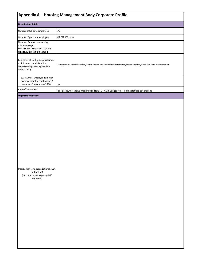|                                                                                                                              | Appendix A - Housing Management Body Corporate Profile                                                        |
|------------------------------------------------------------------------------------------------------------------------------|---------------------------------------------------------------------------------------------------------------|
| <b>Organization details</b>                                                                                                  |                                                                                                               |
| Number of full time employees                                                                                                | 178                                                                                                           |
| Number of part time employees                                                                                                | 312 P?T 102 casual                                                                                            |
| Number of employees earning<br>minimum wage.<br>N.B. PLEASE DO NOT DISCLOSE IF<br>THIS NUMBER IS 5 OR LOWER                  |                                                                                                               |
| Categories of staff (e.g. management,<br>maintenance, administration,<br>housekeeping, catering, resident<br>services etc.). | Management, Administration, Lodge Attendant, Activities Coordinator, Housekeeping, Food Services, Maintenance |
| 2018 Annual Employee Turnover<br>(average monthly employment /<br>number of separations * 100)                               | 10%                                                                                                           |
| Are staff unionized?                                                                                                         | Yes - Bashaw Meadows Integrated Lodge/DSL - AUPE Lodges, No - Housing staff are out of scope                  |
| <b>Organizational chart</b>                                                                                                  |                                                                                                               |
| Insert a high level organizational chart<br>for the HMB<br>(can be attached seperatelly if<br>required)                      |                                                                                                               |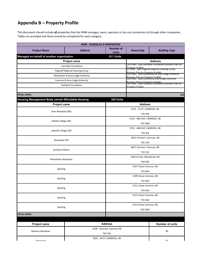# **Appendix B – Property Profile**

This document should include **all** properties that the HMB manages, owns, operates or has any connection to through other companies. Tables are provided and these should be completed for each category.

|                                                  |                                   | <b>NON - SCHEDULE A PROPERTIES</b> |                                            |                                                                                                                                                   |  |  |
|--------------------------------------------------|-----------------------------------|------------------------------------|--------------------------------------------|---------------------------------------------------------------------------------------------------------------------------------------------------|--|--|
| <b>Project Name</b>                              | <b>Address</b>                    | Number of<br><b>Units</b>          | Ownership                                  | <b>Building Type</b>                                                                                                                              |  |  |
| Managed on behalf of another organization        |                                   | 611 Units                          |                                            |                                                                                                                                                   |  |  |
|                                                  | <b>Project name</b>               |                                    |                                            | <b>Address</b>                                                                                                                                    |  |  |
|                                                  | Lacombe Foundation                |                                    | Pronerty Profile)                          | 195 Units (See Lacombe Foundation Business Plan for                                                                                               |  |  |
|                                                  | Flagstaff Regional Housing Group  |                                    |                                            | 41 Units (See Flagstaff Regional Housing Group<br> <br> Business Plan for Property Profile)<br> 116 Units   See Wetaskiwin & Area Lodge Authority |  |  |
|                                                  | Wetaskiwin & Area Lodge Authority |                                    | <b>Business Plan for Property Profile)</b> |                                                                                                                                                   |  |  |
|                                                  | Camrose & Area Lodge Authority    |                                    |                                            | 109 Units (See Camrose & Area Lodge Authority<br>Business Plan for Property Profile)<br>150 Units (See Parkland Foundation Business Plan for      |  |  |
|                                                  | <b>Parkland Foundation</b>        |                                    | Pronerty Profile)                          |                                                                                                                                                   |  |  |
| <b>TOTAL UNITS:</b>                              |                                   |                                    |                                            | 612                                                                                                                                               |  |  |
| Housing Management Body owned Affordable Housing |                                   | 324 Units                          |                                            |                                                                                                                                                   |  |  |
| Project name                                     |                                   |                                    | <b>Address</b>                             |                                                                                                                                                   |  |  |
|                                                  |                                   |                                    | 4215 - 55 ST, CAMROSE, AB                  |                                                                                                                                                   |  |  |
| Deer Meadows (80)                                |                                   |                                    | T4V 4S9                                    |                                                                                                                                                   |  |  |
|                                                  |                                   |                                    | 5210 - 48A AVE, CAMROSE, AB                |                                                                                                                                                   |  |  |
| Hillside Village (49)                            |                                   |                                    | T4V 4M4                                    |                                                                                                                                                   |  |  |
|                                                  |                                   |                                    | 5702 - 48B AVE, CAMROSE, AB                |                                                                                                                                                   |  |  |
| Lakeside Village (20)                            |                                   |                                    | <b>T4V 0L8</b>                             |                                                                                                                                                   |  |  |
|                                                  |                                   |                                    | 4501-47street Camrose, AB                  |                                                                                                                                                   |  |  |
| Brookside (70)                                   |                                   |                                    | T4V 1H9                                    |                                                                                                                                                   |  |  |
|                                                  |                                   |                                    | 4827-47street Camrose, AB                  |                                                                                                                                                   |  |  |
| Jamieson Manor                                   |                                   |                                    | T4V 1J6                                    |                                                                                                                                                   |  |  |
|                                                  |                                   |                                    | 5402 52 Ave, Wetaskiwin AB                 |                                                                                                                                                   |  |  |
| <b>Wetaskiwin Meadows</b>                        |                                   |                                    | T9A 0X9                                    |                                                                                                                                                   |  |  |
|                                                  |                                   |                                    | 5207 52ave Camrose, AB                     |                                                                                                                                                   |  |  |
| Sparling                                         |                                   |                                    | <b>T4V 0X4</b>                             |                                                                                                                                                   |  |  |
|                                                  |                                   |                                    | 5209 52ave Camrose, AB                     |                                                                                                                                                   |  |  |
| Sparling                                         |                                   |                                    | T4V 0X4                                    |                                                                                                                                                   |  |  |
|                                                  |                                   |                                    | 5211 52ave Camrose, AB                     |                                                                                                                                                   |  |  |
| Sparling                                         |                                   |                                    | T4V 0X4                                    |                                                                                                                                                   |  |  |
| Sparling                                         |                                   |                                    | 5213 52ave Camrose, AB                     |                                                                                                                                                   |  |  |
|                                                  |                                   |                                    | <b>T4V 0X4</b>                             |                                                                                                                                                   |  |  |
| Sparling                                         |                                   |                                    | 5215 52ave Camrose, AB                     |                                                                                                                                                   |  |  |
|                                                  |                                   |                                    | T4V 4M3                                    |                                                                                                                                                   |  |  |
| <b>TOTAL UNITS:</b>                              |                                   |                                    |                                            |                                                                                                                                                   |  |  |
|                                                  |                                   |                                    |                                            |                                                                                                                                                   |  |  |
| Project name                                     |                                   | <b>Address</b>                     |                                            | Number of units                                                                                                                                   |  |  |
| <b>Bethany Meadows</b>                           |                                   | 4209 - 55street. Camrose AB        |                                            | 30                                                                                                                                                |  |  |
|                                                  |                                   | T4V 4Y6                            |                                            |                                                                                                                                                   |  |  |
| Viewnnint                                        |                                   | 4503 - 48 ST, CAMROSE, AB          |                                            | 20                                                                                                                                                |  |  |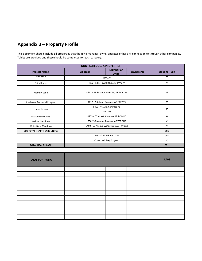# **Appendix B – Property Profile**

This document should include **all** properties that the HMB manages, owns, operates or has any connection to through other companies. Tables are provided and these should be completed for each category.

|                                     | <b>NON - SCHEDULE A PROPERTIES</b> |                                             |           |                         |
|-------------------------------------|------------------------------------|---------------------------------------------|-----------|-------------------------|
| <b>Project Name</b>                 | <b>Address</b>                     | <b>Number of</b><br><b>Units</b>            | Ownership | <b>Building Type</b>    |
| vicwpoint                           |                                    | <b>T4V 4Z7</b>                              |           | $\overline{\mathbf{z}}$ |
| Faith House                         |                                    | 4832 - 54 ST, CAMROSE, AB T4V 2A4           |           | 20                      |
| Memory Lane                         |                                    | 4612 - 53 Street, CAMROSE, AB T4V 1Y6       |           | 25                      |
| Rosehaven Provincial Program        |                                    | 4612 - 53 street Camrose AB T4V 1Y6         |           | 75                      |
| Louise Jensen                       |                                    | 5400 - 46 Ave. Camrose AB<br><b>T4V 2P8</b> |           | 65                      |
| <b>Bethany Meadows</b>              |                                    | 4209 - 55 street. Camrose AB T4V 4Y6        |           | 65                      |
| <b>Bashaw Meadows</b>               |                                    | 5502 56 Avenue, Bashaw, AB T0B 0H0          |           | 30                      |
| Wetaskiwin Meadows                  |                                    | 5402 - 52 Avenue Wetaskiwin AB T4V 0X9      |           | 26                      |
| <b>SUB TOTAL HEALTH CARE UNITS:</b> |                                    |                                             |           | 356                     |
|                                     |                                    | Wetaskiwin Home Care                        |           | 245                     |
|                                     |                                    | Crossroads Day Program                      |           | 70                      |
| <b>TOTAL HEALTH CARE</b>            |                                    |                                             |           | 671                     |
|                                     |                                    |                                             |           |                         |
| <b>TOTAL PORTFOLIO</b>              |                                    |                                             |           | 3,408                   |
|                                     |                                    |                                             |           |                         |
|                                     |                                    |                                             |           |                         |
|                                     |                                    |                                             |           |                         |
|                                     |                                    |                                             |           |                         |
|                                     |                                    |                                             |           |                         |
|                                     |                                    |                                             |           |                         |
|                                     |                                    |                                             |           |                         |
|                                     |                                    |                                             |           |                         |
|                                     |                                    |                                             |           |                         |
|                                     |                                    |                                             |           |                         |
|                                     |                                    |                                             |           |                         |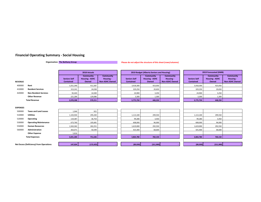#### **Financial Operating Summary - Social Housing**

**Organization: The Bethany Group**

#### **Please do not adjust the structure of this sheet (rows/columns)**

|                                                                                          |                              |                                         | 2018 Actuals                                       |                                                        |                                         | 2019 Budget (Alberta Seniors and Housing)          |                                                        |                                         | 2019 Forecasted (HMB)                              |                                                        |
|------------------------------------------------------------------------------------------|------------------------------|-----------------------------------------|----------------------------------------------------|--------------------------------------------------------|-----------------------------------------|----------------------------------------------------|--------------------------------------------------------|-----------------------------------------|----------------------------------------------------|--------------------------------------------------------|
| <b>REVENUE</b>                                                                           |                              | <b>Seniors Self</b><br><b>Contained</b> | <b>Community</b><br><b>Housing - ASHC</b><br>Owned | <b>Community</b><br>Housing -<br><b>Non-ASHC Owned</b> | <b>Seniors Self</b><br><b>Contained</b> | <b>Community</b><br><b>Housing - ASHC</b><br>Owned | <b>Community</b><br>Housing -<br><b>Non-ASHC Owned</b> | <b>Seniors Self</b><br><b>Contained</b> | <b>Community</b><br><b>Housing - ASHC</b><br>Owned | <b>Community</b><br>Housing -<br><b>Non-ASHC Owned</b> |
| 400000                                                                                   | Rent                         | 3,351,340                               | 411,587                                            |                                                        | 3,418,300                               | 423,050                                            |                                                        | 3,418,300                               | 423,050                                            |                                                        |
| 410000                                                                                   | <b>Resident Services</b>     | 313,241                                 | 24,038                                             |                                                        | 329,250                                 | 20,650                                             |                                                        | 329,250                                 | 20,650                                             |                                                        |
| 420000                                                                                   | <b>Non-Resident Services</b> | 92,443                                  | 14,500                                             |                                                        | 24,900                                  | 3,250                                              |                                                        | 24,900                                  | 3,250                                              |                                                        |
|                                                                                          | <b>Other Revenue</b>         | 221,284                                 | 129,086                                            |                                                        | 3,300                                   | 1,300                                              |                                                        | 3,300                                   | 1,300                                              |                                                        |
|                                                                                          |                              | 3,978,308                               | 579,211                                            |                                                        | 3,775,750                               | 448,250                                            |                                                        | 3,775,750                               | 448,250                                            |                                                        |
| <b>EXPENSES</b>                                                                          |                              |                                         |                                                    |                                                        |                                         |                                                    |                                                        |                                         |                                                    |                                                        |
| 500000                                                                                   | <b>Taxes and Land Leases</b> | 1,944                                   | 921                                                |                                                        |                                         |                                                    |                                                        |                                         |                                                    |                                                        |
| 510000                                                                                   | <b>Utilities</b>             | 1,103,944                               | 295,430                                            |                                                        | 1,113,100                               | 299,550                                            |                                                        | 1,113,100                               | 299,550                                            |                                                        |
| 520000                                                                                   | Operating                    | 119,387                                 | 36,754                                             |                                                        | 99,280                                  | 3,450                                              |                                                        | 99,280                                  | 3,450                                              |                                                        |
| 530000                                                                                   | <b>Operating Maintenance</b> | 673,760                                 | 105,681                                            |                                                        | 608,000                                 | 96,000                                             |                                                        | 608,000                                 | 96,000                                             |                                                        |
| 550000                                                                                   | <b>Human Resources</b>       | 1,563,362                               | 262,251                                            |                                                        | 1,619,000                               | 292,550                                            |                                                        | 1,619,000                               | 292,550                                            |                                                        |
| 560000                                                                                   | Administration               | 363,071                                 | 50,599                                             |                                                        | 425,400                                 | 68,600                                             |                                                        | 425,400                                 | 68,600                                             |                                                        |
|                                                                                          | <b>Other Expense</b>         | 5,816                                   |                                                    |                                                        |                                         |                                                    |                                                        |                                         |                                                    |                                                        |
|                                                                                          |                              | 3,831,284                               | 751,636                                            |                                                        | 3,864,780                               | 760,150                                            |                                                        | 3,864,780                               | 760,150                                            |                                                        |
|                                                                                          |                              |                                         |                                                    |                                                        |                                         |                                                    |                                                        |                                         |                                                    |                                                        |
| <b>Total Revenue</b><br><b>Total Expenses</b><br>Net Excess (Deficiency) from Operations |                              | 147,024                                 | (172, 425)                                         |                                                        | (89,030)                                | (311,900)                                          |                                                        | (89,030)                                | (311,900)                                          |                                                        |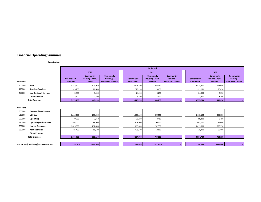#### **Financial Operating Summary**

**Organization:**

|                 | 2020<br><b>Community</b><br><b>Seniors Self</b><br><b>Housing - ASHC</b><br><b>Contained</b><br>Owned<br>Rent<br>3,418,300<br>423,050<br>20,650<br><b>Resident Services</b><br>329,250<br><b>Non-Resident Services</b><br>24,900<br>3,250<br><b>Other Revenue</b><br>3,300<br>1,300<br><b>Total Revenue</b><br>448,250<br>3,775,750<br><b>Taxes and Land Leases</b><br><b>Utilities</b><br>299,550<br>1,113,100<br>99,280<br>3,450<br>Operating<br><b>Operating Maintenance</b><br>608,000<br>96,000<br>1,619,000<br>292,550<br><b>Human Resources</b><br>Administration<br>68,600<br>425,400<br><b>Other Expense</b> |           |           |                                                        |        |                                         | Projected                                          |                                                        |                                  |                                                    |                                                        |
|-----------------|-----------------------------------------------------------------------------------------------------------------------------------------------------------------------------------------------------------------------------------------------------------------------------------------------------------------------------------------------------------------------------------------------------------------------------------------------------------------------------------------------------------------------------------------------------------------------------------------------------------------------|-----------|-----------|--------------------------------------------------------|--------|-----------------------------------------|----------------------------------------------------|--------------------------------------------------------|----------------------------------|----------------------------------------------------|--------------------------------------------------------|
|                 |                                                                                                                                                                                                                                                                                                                                                                                                                                                                                                                                                                                                                       |           |           |                                                        |        |                                         | 2021                                               |                                                        |                                  | 2022                                               |                                                        |
| <b>REVENUE</b>  |                                                                                                                                                                                                                                                                                                                                                                                                                                                                                                                                                                                                                       |           |           | <b>Community</b><br>Housing -<br><b>Non-ASHC Owned</b> |        | <b>Seniors Self</b><br><b>Contained</b> | <b>Community</b><br><b>Housing - ASHC</b><br>Owned | <b>Community</b><br>Housing -<br><b>Non-ASHC Owned</b> | <b>Seniors Self</b><br>Contained | <b>Community</b><br><b>Housing - ASHC</b><br>Owned | <b>Community</b><br>Housing -<br><b>Non-ASHC Owned</b> |
| 400000          |                                                                                                                                                                                                                                                                                                                                                                                                                                                                                                                                                                                                                       |           |           |                                                        |        | 3,418,300                               | 423,050                                            |                                                        | 3,418,300                        | 423,050                                            |                                                        |
| 410000          |                                                                                                                                                                                                                                                                                                                                                                                                                                                                                                                                                                                                                       |           |           |                                                        |        | 329,250                                 | 20,650                                             |                                                        | 329,250                          | 20,650                                             |                                                        |
| 420000          |                                                                                                                                                                                                                                                                                                                                                                                                                                                                                                                                                                                                                       |           |           |                                                        | 24,900 | 3,250                                   |                                                    | 24,900                                                 | 3,250                            |                                                    |                                                        |
|                 |                                                                                                                                                                                                                                                                                                                                                                                                                                                                                                                                                                                                                       |           |           |                                                        |        | 3,300                                   | 1,300                                              |                                                        | 3,300                            | 1,300                                              |                                                        |
|                 |                                                                                                                                                                                                                                                                                                                                                                                                                                                                                                                                                                                                                       |           |           |                                                        |        | 3,775,750                               | 448,250                                            |                                                        | 3,775,750                        | 448,250                                            |                                                        |
| <b>EXPENSES</b> |                                                                                                                                                                                                                                                                                                                                                                                                                                                                                                                                                                                                                       |           |           |                                                        |        |                                         |                                                    |                                                        |                                  |                                                    |                                                        |
| 500000          |                                                                                                                                                                                                                                                                                                                                                                                                                                                                                                                                                                                                                       |           |           |                                                        |        |                                         |                                                    |                                                        |                                  |                                                    |                                                        |
| 510000          |                                                                                                                                                                                                                                                                                                                                                                                                                                                                                                                                                                                                                       |           |           |                                                        |        | 1,113,100                               | 299,550                                            |                                                        | 1,113,100                        | 299,550                                            |                                                        |
| 520000          |                                                                                                                                                                                                                                                                                                                                                                                                                                                                                                                                                                                                                       |           |           |                                                        |        | 99,280                                  | 3,450                                              |                                                        | 99,280                           | 3,450                                              |                                                        |
| 530000          |                                                                                                                                                                                                                                                                                                                                                                                                                                                                                                                                                                                                                       |           |           |                                                        |        | 608,000                                 | 96,000                                             |                                                        | 608,000                          | 96,000                                             |                                                        |
| 550000          |                                                                                                                                                                                                                                                                                                                                                                                                                                                                                                                                                                                                                       |           |           |                                                        |        | 1,619,000                               | 292,550                                            |                                                        | 1,619,000                        | 292,550                                            |                                                        |
| 560000          |                                                                                                                                                                                                                                                                                                                                                                                                                                                                                                                                                                                                                       |           |           |                                                        |        | 425,400                                 | 68,600                                             |                                                        | 425,400                          | 68,600                                             |                                                        |
|                 |                                                                                                                                                                                                                                                                                                                                                                                                                                                                                                                                                                                                                       |           |           |                                                        |        |                                         |                                                    |                                                        |                                  |                                                    |                                                        |
|                 | <b>Total Expenses</b>                                                                                                                                                                                                                                                                                                                                                                                                                                                                                                                                                                                                 | 3,864,780 | 760,150   |                                                        |        | 3,864,780                               | 760,150                                            |                                                        | 3,864,780                        | 760,150                                            |                                                        |
|                 |                                                                                                                                                                                                                                                                                                                                                                                                                                                                                                                                                                                                                       |           |           |                                                        |        |                                         |                                                    |                                                        |                                  |                                                    |                                                        |
|                 | Net Excess (Deficiency) from Operations                                                                                                                                                                                                                                                                                                                                                                                                                                                                                                                                                                               | (89,030)  | (311,900) |                                                        |        | (89,030)                                | (311,900)                                          |                                                        | (89,030)                         | (311,900)                                          |                                                        |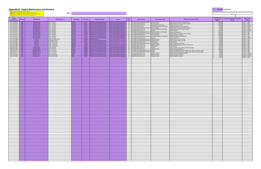**HMB:** 

| 12 Digit<br><b>Project Number</b> | <b>HMB</b> Code          | <b>Building Name</b>                           | <b>Building Address</b>                  | <b>Municipality</b> | <b>Postal Code</b> | <b>Building Ownership</b>                                                              | Program                                                              | # of<br><b>Priority Ranking</b><br><b>Units</b>                                                                                             | <b>Major Expense Type</b>                                   | "Detailed" Description Of Work                                                      | <b>Estimated Cost To</b><br><b>Complete The</b><br><b>Work</b> | <b>Environment Sustainability (Climate</b><br><b>HMB Priority</b><br>Ranking<br>Change) |
|-----------------------------------|--------------------------|------------------------------------------------|------------------------------------------|---------------------|--------------------|----------------------------------------------------------------------------------------|----------------------------------------------------------------------|---------------------------------------------------------------------------------------------------------------------------------------------|-------------------------------------------------------------|-------------------------------------------------------------------------------------|----------------------------------------------------------------|-----------------------------------------------------------------------------------------|
| 1617-2755-0041                    | TBG <b>T</b>             | Wild Rose Villa                                | 4912 - 53 Street                         | Camrose             |                    | T4V1Z1 Alberta Social Housing Corporation                                              | eniors Self Contained Apartments                                     | 39 Life, Health and Safety Needs (Priority 1) Building Envelope                                                                             |                                                             | Replace Windows, Stucco, rotted walls, etc.                                         | 500,000                                                        | Priority 1 - High                                                                       |
| 1617-2755-0041<br>1617-2755-0041  | <b>TBG</b><br><b>TBG</b> | Wild Rose Villa<br><b>Wild Rose Villa</b>      | 4912 - 53 Street<br>4912 - 53 Street     | Camrose<br>Camrose  | T4V1Z1             | Alberta Social Housing Corporation<br>T4V1Z1 Alberta Social Housing Corporation        | eniors Self Contained Apartments                                     | 39 Immediate Needs (Priority 2)<br>eniors Self Contained Apartments 39 Immediate Needs (Priority 2)                                         | <b>Electrical Systems</b><br>Building-Exterior and Interior | Replace Keyless Entry and Fire Alarm System<br>Replace Cabnetry in all Units        | 100,000<br>200,000                                             | Priority 1 - High<br>Priority 2 - Medium                                                |
| 1617-2755-0041                    | <b>TBG</b>               | Wild Rose Villa                                | 4912 - 53 Street                         | Camrose             |                    | T4V1Z1 Alberta Social Housing Corporation                                              |                                                                      | Seniors Self Contained Apartments 39 General Needs (Priority 3)                                                                             | Ground Maintenance and Materials                            | Upgrade Garbage Bin Area and Relocate                                               | 10.000                                                         | Priority 2 - Medium                                                                     |
| 1617-2755-2114                    | TBG                      | <b>Heritage Manor</b>                          | 4912 - 56 Street                         | Camrose             |                    | T4V4C7 Alberta Social Housing Corporation                                              | eniors Self Contained Apartments                                     | 57 Life, Health and Safety Needs (Priority 1) Electrical Systems                                                                            |                                                             | eplace Keyless Entry and Fire Alarm System                                          | 150,000                                                        | Priority 1 - High                                                                       |
| 1617-2755-2114<br>1617-2755-2114  | <b>TBG</b><br>TBG        | <b>Heritage Manor</b><br><b>Heritage Manor</b> | 4912 - 56 Street<br>4912 - 56 Street     | Camrose<br>Camrose  |                    | T4V4C7 Alberta Social Housing Corporation<br>T4V4C7 Alberta Social Housing Corporation | eniors Self Contained Apartments<br>eniors Self Contained Apartments | 57 Immediate Needs (Priority 2)<br>57 Immediate Needs (Priority 2)                                                                          | Heating, Ventilation and Plumbing<br>Elevators              | Upgrade Radiant Heat in Common Areas<br>Elevator Upgrade                            | 40.000<br>250,000                                              | Priority 2 - Medium<br>Priority 2 - Medium                                              |
| 1617-2755-2273                    | <b>TBG</b>               | Park View Place                                | 4709 - 50 Street                         | Camrose             |                    | T4V4C9 Alberta Social Housing Corporation                                              | eniors Self Contained Apartments                                     | 64 Life, Health and Safety Needs (Priority 1) Heating, Ventilation and Plumbing                                                             |                                                             | Sewer Line Replacement                                                              | 100,000                                                        | Priority 1 - High                                                                       |
| 1617-2755-2273                    | TBG                      | Park View Place                                | 4709 - 50 Street                         | Camrose             |                    | T4V4C9 Alberta Social Housing Corporation                                              | Seniors Self Contained Apartments                                    | 64 Life, Health and Safety Needs (Priority 1) Electrical Systems                                                                            |                                                             | Replace Keyless Entry and Fire Alarm System                                         | 150,000                                                        | Priority 1 - High                                                                       |
| 1617-2755-2273<br>1617-2755-2273  | TBG<br>TBG               | Park View Place<br>Park View Place             | 4709 - 50 Street<br>4709 - 50 Street     | Camrose<br>Camrose  |                    | T4V4C9 Alberta Social Housing Corporation<br>T4V4C9 Alberta Social Housing Corporation | eniors Self Contained Apartments<br>eniors Self Contained Apartments | 64 Immediate Needs (Priority 2)<br>64 Life, Health and Safety Needs (Priority 1) Ground Maintenance and Materials                           | <b>Building Envelope</b>                                    | Replace Windows and Blinds<br>Replace Sidewalks and Landscaping                     | 250,000<br>75,000                                              | Priority 1 - High<br>Priority 1 - High                                                  |
| 1617-2755-2273                    | TBG                      | Park View Place                                | 4709 - 50 Street                         | Camrose             |                    | T4V4C9 Alberta Social Housing Corporation                                              | eniors Self Contained Apartments                                     | 64 Immediate Needs (Priority 2)                                                                                                             | Elevators                                                   | Elevator Upgrade x 2                                                                | 500,000                                                        | Priority 2 - Medium                                                                     |
| 1617-2731-2864                    | <b>TBG</b>               | Camrose 1                                      | 107A Mt. Pleasant Drive                  | Camrose             |                    | T4V2M8 Federal/Provincial                                                              |                                                                      | mmunity Housing Provincially Owned   14   Life, Health and Safety Needs (Priority 1) Building Envelope                                      |                                                             | Replace Exterior Doors in all units                                                 | 35,000                                                         | Priority 1 - High                                                                       |
| 1617-2731-2069<br>1617-2731-2069  | <b>TBG</b><br>TBG        | Camrose 2<br>Camrose 2                         | 6705A Marler Drive<br>6705A Marler Drive | Camrose<br>Camrose  |                    | T4V3R2 Alberta Social Housing Corporation<br>T4V3R2 Alberta Social Housing Corporation | nmunity Housing Provincially Owned                                   | Community Housing Provincially Owned   10   Life, Health and Safety Needs (Priority 1) Building Envelope<br>10 Immediate Needs (Priority 2) | Suite Renewal                                               | Replace Exterior Doors in all units<br>Suite Renewals                               | 24,000<br>50,000                                               | Priority 1 - High<br>Priority 1 - High                                                  |
| 1617-2731-2080                    | <b>TBG</b>               | Camrose 3                                      | 5401A - 43 Avenue                        | Camrose             |                    | T4V4J8 Alberta Social Housing Corporation                                              | ommunity Housing Provincially Owned                                  | 10 Life, Health and Safety Needs (Priority 1) Building Envelope                                                                             |                                                             | Replace Shingles on all 10 units                                                    | 50,000                                                         | Priority 1 - High                                                                       |
| 1617-2731-2080                    | TBG                      | Camrose 3                                      | 5401A - 43 Avenue                        | Camrose             |                    | T4V4J8 Alberta Social Housing Corporation                                              | Community Housing Provincially Owned                                 | 10 Immediate Needs (Priority 2)                                                                                                             | <b>Building Envelope</b>                                    | Replace Siding Windows and Doors on all 10 units                                    | 150,000                                                        | Priority 1 - High                                                                       |
| 1617-2731-2080<br>1609-2755-2249  | <b>TBG</b><br>TBG        | Camrose 3<br>Lakeside Home                     | 5401A - 43 Avenue<br>5320 - 49 Street    | Camrose             |                    | T4V4J8 Alberta Social Housing Corporation                                              | mmunity Housing Provincially Owned                                   | 10 Immediate Needs (Priority 2)                                                                                                             | Suite Renewal                                               | Suite Renewals                                                                      | 50,000<br>85,000                                               | Priority 1 - High                                                                       |
| 1609-2755-2249                    | TBG                      | Lakeside Home                                  | 5320 - 49 Street                         | Bashaw<br>Bashaw    |                    | TOBOHO Alberta Social Housing Corporation<br>TOBOHO Alberta Social Housing Corporation | Seniors Self Contained Apartments<br>niors Self Contained Apartments | 20 Immediate Needs (Priority 2)<br>20 Immediate Needs (Priority 2)                                                                          | Roofing<br><b>Building Envelope</b>                         | Replace Shingles, Facia, Soffits and all Eavestroughs<br>Replace Windows and Blinds | 100,000                                                        | Priority 1 - High<br>Priority 1 - High                                                  |
| 1609-2755-0211                    | <b>TBG</b>               | <b>Heritage House 1</b>                        | 5015 - 53 Avenue                         | Bashaw              |                    | TOBOHO Alberta Social Housing Corporation                                              | eniors Self Contained Apartments                                     | 12 Life, Health and Safety Needs (Priority 1) Roofing                                                                                       |                                                             | Replace Leaking Roof with new shingles, Facia, Soffits, and Eavestroughs            | 50,000                                                         | Priority 1 - High                                                                       |
| 1609-2755-2177                    | <b>TBG</b>               | Heritage House 2                               | 5015 - 53 Avenue                         | Bashaw              |                    | TOBOHO   Alberta Social Housing Corporation                                            | eniors Self Contained Apartments                                     | 12 Life, Health and Safety Needs (Priority 1) Roofing                                                                                       |                                                             | Replace Leaking Roof with new shingles, Facia, Soffits, and Eavestroughs            | 50,000                                                         | Priority 1 - High                                                                       |
| 1609-2755-2177<br>1611-2755-2062  | <b>TBG</b><br>TBG        | <b>Heritage House 2</b><br>Sanden Court 1      | 5015 - 53 Avenue<br>4651 Sanden Street   | Bashaw<br>Bawlf     |                    | TOBOHO Alberta Social Housing Corporation<br>T0B0J0 Alberta Social Housing Corporation | eniors Self Contained Apartments<br>eniors Self Contained Apartments | 12 Immediate Needs (Priority 2)<br>4 Immediate Needs (Priority 2)                                                                           | <b>Building Envelope</b><br><b>Building Envelope</b>        | Replace Siding and Upgrade to Exterior<br><b>Replace Windows and Blinds</b>         | 50,000<br>25,000                                               | Priority 2 - Medium<br>Priority 2 - Medium                                              |
| 1611-2755-2184                    | TBG                      | Sanden Court 2                                 | 4655 Sanden Street                       | Bawlf               |                    | TOBOJO Alberta Social Housing Corporation                                              | niors Self Contained Apartments                                      | 4 Immediate Needs (Priority 2)                                                                                                              | Building Envelope                                           | teplace Windows and Blinds                                                          | 25,000                                                         | Priority 2 - Medium                                                                     |
|                                   |                          |                                                |                                          |                     |                    |                                                                                        |                                                                      |                                                                                                                                             |                                                             |                                                                                     | 25,000                                                         | Priority 1 - High                                                                       |
|                                   |                          |                                                |                                          |                     |                    |                                                                                        |                                                                      |                                                                                                                                             |                                                             |                                                                                     |                                                                |                                                                                         |
|                                   |                          |                                                |                                          |                     |                    |                                                                                        |                                                                      |                                                                                                                                             |                                                             |                                                                                     |                                                                |                                                                                         |
|                                   |                          |                                                |                                          |                     |                    |                                                                                        |                                                                      |                                                                                                                                             |                                                             |                                                                                     |                                                                |                                                                                         |
|                                   |                          |                                                |                                          |                     |                    |                                                                                        |                                                                      |                                                                                                                                             |                                                             |                                                                                     |                                                                |                                                                                         |
|                                   |                          |                                                |                                          |                     |                    |                                                                                        |                                                                      |                                                                                                                                             |                                                             |                                                                                     |                                                                |                                                                                         |
|                                   |                          |                                                |                                          |                     |                    |                                                                                        |                                                                      |                                                                                                                                             |                                                             |                                                                                     |                                                                |                                                                                         |
|                                   |                          |                                                |                                          |                     |                    |                                                                                        |                                                                      |                                                                                                                                             |                                                             |                                                                                     |                                                                |                                                                                         |
|                                   |                          |                                                |                                          |                     |                    |                                                                                        |                                                                      |                                                                                                                                             |                                                             |                                                                                     |                                                                |                                                                                         |
|                                   |                          |                                                |                                          |                     |                    |                                                                                        |                                                                      |                                                                                                                                             |                                                             |                                                                                     |                                                                |                                                                                         |
|                                   |                          |                                                |                                          |                     |                    |                                                                                        |                                                                      |                                                                                                                                             |                                                             |                                                                                     |                                                                |                                                                                         |
|                                   |                          |                                                |                                          |                     |                    |                                                                                        |                                                                      |                                                                                                                                             |                                                             |                                                                                     |                                                                |                                                                                         |
|                                   |                          |                                                |                                          |                     |                    |                                                                                        |                                                                      |                                                                                                                                             |                                                             |                                                                                     |                                                                |                                                                                         |
|                                   |                          |                                                |                                          |                     |                    |                                                                                        |                                                                      |                                                                                                                                             |                                                             |                                                                                     |                                                                |                                                                                         |
|                                   |                          |                                                |                                          |                     |                    |                                                                                        |                                                                      |                                                                                                                                             |                                                             |                                                                                     |                                                                |                                                                                         |
|                                   |                          |                                                |                                          |                     |                    |                                                                                        |                                                                      |                                                                                                                                             |                                                             |                                                                                     |                                                                |                                                                                         |
|                                   |                          |                                                |                                          |                     |                    |                                                                                        |                                                                      |                                                                                                                                             |                                                             |                                                                                     |                                                                |                                                                                         |
|                                   |                          |                                                |                                          |                     |                    |                                                                                        |                                                                      |                                                                                                                                             |                                                             |                                                                                     |                                                                |                                                                                         |
|                                   |                          |                                                |                                          |                     |                    |                                                                                        |                                                                      |                                                                                                                                             |                                                             |                                                                                     |                                                                |                                                                                         |
|                                   |                          |                                                |                                          |                     |                    |                                                                                        |                                                                      |                                                                                                                                             |                                                             |                                                                                     |                                                                |                                                                                         |
|                                   |                          |                                                |                                          |                     |                    |                                                                                        |                                                                      |                                                                                                                                             |                                                             |                                                                                     |                                                                |                                                                                         |
|                                   |                          |                                                |                                          |                     |                    |                                                                                        |                                                                      |                                                                                                                                             |                                                             |                                                                                     |                                                                |                                                                                         |
|                                   |                          |                                                |                                          |                     |                    |                                                                                        |                                                                      |                                                                                                                                             |                                                             |                                                                                     |                                                                |                                                                                         |
|                                   |                          |                                                |                                          |                     |                    |                                                                                        |                                                                      |                                                                                                                                             |                                                             |                                                                                     |                                                                |                                                                                         |
|                                   |                          |                                                |                                          |                     |                    |                                                                                        |                                                                      |                                                                                                                                             |                                                             |                                                                                     |                                                                |                                                                                         |
|                                   |                          |                                                |                                          |                     |                    |                                                                                        |                                                                      |                                                                                                                                             |                                                             |                                                                                     |                                                                |                                                                                         |
|                                   |                          |                                                |                                          |                     |                    |                                                                                        |                                                                      |                                                                                                                                             |                                                             |                                                                                     |                                                                |                                                                                         |
|                                   |                          |                                                |                                          |                     |                    |                                                                                        |                                                                      |                                                                                                                                             |                                                             |                                                                                     |                                                                |                                                                                         |
|                                   |                          |                                                |                                          |                     |                    |                                                                                        |                                                                      |                                                                                                                                             |                                                             |                                                                                     |                                                                |                                                                                         |
|                                   |                          |                                                |                                          |                     |                    |                                                                                        |                                                                      |                                                                                                                                             |                                                             |                                                                                     |                                                                |                                                                                         |
|                                   |                          |                                                |                                          |                     |                    |                                                                                        |                                                                      |                                                                                                                                             |                                                             |                                                                                     |                                                                |                                                                                         |
|                                   |                          |                                                |                                          |                     |                    |                                                                                        |                                                                      |                                                                                                                                             |                                                             |                                                                                     |                                                                |                                                                                         |
|                                   |                          |                                                |                                          |                     |                    |                                                                                        |                                                                      |                                                                                                                                             |                                                             |                                                                                     |                                                                |                                                                                         |
|                                   |                          |                                                |                                          |                     |                    |                                                                                        |                                                                      |                                                                                                                                             |                                                             |                                                                                     |                                                                |                                                                                         |
|                                   |                          |                                                |                                          |                     |                    |                                                                                        |                                                                      |                                                                                                                                             |                                                             |                                                                                     |                                                                |                                                                                         |
|                                   |                          |                                                |                                          |                     |                    |                                                                                        |                                                                      |                                                                                                                                             |                                                             |                                                                                     |                                                                |                                                                                         |
|                                   |                          |                                                |                                          |                     |                    |                                                                                        |                                                                      |                                                                                                                                             |                                                             |                                                                                     |                                                                |                                                                                         |
|                                   |                          |                                                |                                          |                     |                    |                                                                                        |                                                                      |                                                                                                                                             |                                                             |                                                                                     |                                                                |                                                                                         |
|                                   |                          |                                                |                                          |                     |                    |                                                                                        |                                                                      |                                                                                                                                             |                                                             |                                                                                     |                                                                |                                                                                         |
|                                   |                          |                                                |                                          |                     |                    |                                                                                        |                                                                      |                                                                                                                                             |                                                             |                                                                                     |                                                                |                                                                                         |
|                                   |                          |                                                |                                          |                     |                    |                                                                                        |                                                                      |                                                                                                                                             |                                                             |                                                                                     |                                                                |                                                                                         |
|                                   |                          |                                                |                                          |                     |                    |                                                                                        |                                                                      |                                                                                                                                             |                                                             |                                                                                     |                                                                |                                                                                         |
|                                   |                          |                                                |                                          |                     |                    |                                                                                        |                                                                      |                                                                                                                                             |                                                             |                                                                                     |                                                                |                                                                                         |
|                                   |                          |                                                |                                          |                     |                    |                                                                                        |                                                                      |                                                                                                                                             |                                                             |                                                                                     |                                                                |                                                                                         |
|                                   |                          |                                                |                                          |                     |                    |                                                                                        |                                                                      |                                                                                                                                             |                                                             |                                                                                     |                                                                |                                                                                         |
|                                   |                          |                                                |                                          |                     |                    |                                                                                        |                                                                      |                                                                                                                                             |                                                             |                                                                                     |                                                                |                                                                                         |
|                                   |                          |                                                |                                          |                     |                    |                                                                                        |                                                                      |                                                                                                                                             |                                                             |                                                                                     |                                                                |                                                                                         |
|                                   |                          |                                                |                                          |                     |                    |                                                                                        |                                                                      |                                                                                                                                             |                                                             |                                                                                     |                                                                |                                                                                         |
|                                   |                          |                                                |                                          |                     |                    |                                                                                        |                                                                      |                                                                                                                                             |                                                             |                                                                                     |                                                                |                                                                                         |
|                                   |                          |                                                |                                          |                     |                    |                                                                                        |                                                                      |                                                                                                                                             |                                                             |                                                                                     |                                                                |                                                                                         |
|                                   |                          |                                                |                                          |                     |                    |                                                                                        |                                                                      |                                                                                                                                             |                                                             |                                                                                     |                                                                |                                                                                         |
|                                   |                          |                                                |                                          |                     |                    |                                                                                        |                                                                      |                                                                                                                                             |                                                             |                                                                                     |                                                                |                                                                                         |
|                                   |                          |                                                |                                          |                     |                    |                                                                                        |                                                                      |                                                                                                                                             |                                                             |                                                                                     |                                                                |                                                                                         |
|                                   |                          |                                                |                                          |                     |                    |                                                                                        |                                                                      |                                                                                                                                             |                                                             |                                                                                     |                                                                |                                                                                         |
|                                   |                          |                                                |                                          |                     |                    |                                                                                        |                                                                      |                                                                                                                                             |                                                             |                                                                                     |                                                                |                                                                                         |

Note: include any energy savings or environmental considerations or opportunities associated with this project.

#### **Appendix D: Capital Maintenance and Renewal**

First: Input your 12 digit project number (no spaces)<br><mark>Second:</mark> Select the specific building from the drop down list (Column D)<br>T**hird**: Input in the number of units pertaining to that specific building (Column J)<br><mark>Fourth:</mark>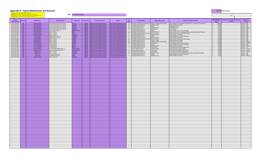#### **Appendix D: Capital Maintenance and Renewal**

First: Input your 12 digit project number (no spaces)<br><mark>Second:</mark> Select the specific building from the drop down list (Column D)<br><mark>Third:</mark> Input in the number of units pertaining to that specific building (Column J)<br>F**ourth:** 

```
HMB: 
The Bethany Group
```

|                                   |                 |                             |                                    |                     |                    |                                                                |                                          |                      |                                                                  |                                   |                                                                                                                                                                  |                                                         | J.                                                    |                                |
|-----------------------------------|-----------------|-----------------------------|------------------------------------|---------------------|--------------------|----------------------------------------------------------------|------------------------------------------|----------------------|------------------------------------------------------------------|-----------------------------------|------------------------------------------------------------------------------------------------------------------------------------------------------------------|---------------------------------------------------------|-------------------------------------------------------|--------------------------------|
| 12 Digit<br><b>Project Number</b> | <b>HMB Code</b> | <b>Building Name</b>        | <b>Building Address</b>            | <b>Municipality</b> | <b>Postal Code</b> | <b>Building Ownership</b>                                      | Program                                  | # of<br><b>Hnite</b> | <b>Priority Ranking</b>                                          | <b>Major Expense Type</b>         | "Detailed" Description Of Work                                                                                                                                   | <b>Estimated Cost To</b><br><b>Complete The</b><br>Work | <b>Environment Sustainability (Climate</b><br>Change) | <b>HMB Priority</b><br>Ranking |
| 1629-2755-0014                    | TBG             | West Side Manor             | 51 Avenue & 44 Street Unit 1A & 1B | Daysland            |                    | T0B1A0 Alberta Social Housing Corporation                      | <b>Seniors Self Contained Apartment</b>  |                      |                                                                  |                                   | 20 Life, Health and Safety Needs (Priority 1) Heating, Ventilation and Plumbing Finish replacing 45 year old water and sewer lines, and replace main water line. | 300,000                                                 |                                                       | Priority 1 - High              |
| 1629-2755-0014                    | TBG             | West Side Manor             | 51 Avenue & 44 Street Unit 1A & 1B | aysland             |                    | T0B1A0 Alberta Social Housing Corporation                      | <b>Seniors Self Contained Apartmen</b>   |                      | 20 Immediate Needs (Priority 2)                                  | uilding Envelope                  | Replace Windows and Doors                                                                                                                                        | $\sim$<br>175,000                                       |                                                       | Priority 1 - High              |
| 1629-2755-0014                    | TBG             | West Side Manor             | 51 Avenue & 44 Street Unit 1A & 1B | aysland             |                    | T0B1A0 Alberta Social Housing Corporation                      | Seniors Self Contained Apartment         |                      | 20 Immediate Needs (Priority 2)                                  | Roofing                           | Shingle Replacement                                                                                                                                              | $\sim$<br>75,000                                        |                                                       | Priority 1 - High              |
| 1629-2755-0014                    | <b>TBG</b>      | West Side Manor             | 51 Avenue & 44 Street Unit 1A & 1B | Davsland            |                    | T0B1A0 Alberta Social Housing Corporation                      | <b>Seniors Self Contained Apartments</b> |                      | 20 General Needs (Priority 3)                                    | <b>Building Envelope</b>          | <b>Siding Replacement</b>                                                                                                                                        | $\sim$<br>120,000                                       |                                                       | Priority 2 - Medium            |
| 1629-2755-0014 TBG                |                 | <b>West Side Manor</b>      | 51 Avenue & 44 Street Unit 1A & 1B | avsland             |                    | T0B1A0 Alberta Social Housing Corporation                      | <b>Seniors Self Contained Apartmen</b>   |                      | 20 Immediate Needs (Priority 2)                                  | Suite Renewal                     | <b>Suite Renewals</b>                                                                                                                                            | 50,000<br>$\sim$                                        |                                                       | Priority 1 - High              |
| 1684-2755-2165 TBG                |                 | Wavy Lake Manor             | 5110 50 Street Units 1 - 4         |                     |                    | Flagstaff County T0B4H0 Alberta Social Housing Corporation     | <b>Seniors Self Contained Apartment</b>  |                      | 4 Immediate Needs (Priority 2)                                   | Roofing                           | Replace Shingles, Facia, and Eavestroughs                                                                                                                        | $\sim$<br>25,000                                        |                                                       | Priority 1 - High              |
| 1647-2755-2001                    | <b>TBG</b>      | <b>Manitou Manor</b>        | 4030 - 57 Street                   | Killam              |                    | T0B2L0 Alberta Social Housing Corporation                      | Seniors Self Contained Apartment         |                      | 16 Immediate Needs (Priority 2)                                  | suilding Envelope                 |                                                                                                                                                                  | 55,000                                                  |                                                       | Priority 1 - High              |
| 1647-2755-2001                    | TBG             | <b>Manitou Manor</b>        | 1030 - 57 Street                   | Killam              |                    |                                                                | <b>Seniors Self Contained Apartme</b>    |                      | 16 Life, Health and Safety Needs (Priority 1                     | <b>Electrical Systems</b>         | Replace Exterior Doors, install automatic door opener and Replace Windows.                                                                                       | 70,000                                                  |                                                       | Priority 1 - High              |
|                                   | TBG             |                             | 4932 - 48 Street                   |                     |                    | T0B2L0 Alberta Social Housing Corporation                      |                                          |                      | 4 Immediate Needs (Priority 2)                                   | <b>Building Envelope</b>          | Replace Keyless Entry and Fire Alarm System                                                                                                                      | I e                                                     |                                                       |                                |
| 1651-2755-2063<br>1651-2755-2277  |                 | <b>Verdant Valley Villa</b> |                                    | Lougheed            |                    | T0B2V0 Alberta Social Housing Corporation                      | <b>Seniors Self Contained Apartme</b>    |                      |                                                                  |                                   | <b>Replace Windows and Blinds</b>                                                                                                                                | 20,000                                                  |                                                       | Priority 1 - High              |
|                                   | <b>TBG</b>      | <b>Frontier Manor</b>       | 4808 50 Street Units 1 - 6         | Lougheed            |                    | T0B2V0 Alberta Social Housing Corporation                      | Seniors Self Contained Apartments        |                      | 6 Immediate Needs (Priority 2)                                   | Roofing                           | <b>Replace Shingles, Eacia, and Eavestroughs</b>                                                                                                                 | 30,000                                                  |                                                       | Priority 1 - High              |
| 1651-2755-2277                    | TRG             | <b>Frontier Manor</b>       | 4808 50 Street Units 1 - 6         | Lougheed            |                    | T0B2V0 Alberta Social Housing Corporation                      | <b>Seniors Self Contained Apartments</b> |                      | 6 Immediate Needs (Priority 2)                                   | <b>Building Envelope</b>          | Replace Windows and Blinds                                                                                                                                       | 25,000                                                  |                                                       | Priority 1 - High              |
| 1641-2755-0067                    | <b>TBG</b>      | Parkland Manor              | 5004 - 50 Street                   | Hardisty            |                    | T0B1V0 Alberta Social Housing Corporation                      | <b>Seniors Self Contained Apartmen</b>   |                      | 26 Life, Health and Safety Needs (Priority 1) Electrical Systems |                                   | Replace Keyless Entry and Fire Alarm System                                                                                                                      | 85,000<br>l c                                           |                                                       | Priority 1 - High              |
| 1641-2755-0067                    | TBG             | <b>Parkland Manor</b>       | 5004 - 50 Street                   | Hardisty            |                    | T0B1V0 Alberta Social Housing Corporation                      | <b>Seniors Self Contained Apartments</b> |                      | 26 Immediate Needs (Priority 2)                                  | <b>Building Envelope</b>          | Replace Windows and Blinds                                                                                                                                       | 80,000<br>I <                                           |                                                       | Priority 1 - High              |
| 1641-2755-0067                    | TBG             | <b>Parkland Manor</b>       | 5004 - 50 Street                   | Hardisty            |                    | T0B1V0 Alberta Social Housing Corporation                      | <b>Seniors Self Contained Apartments</b> |                      | 26 Immediate Needs (Priority 2)                                  | Heating, Ventilation and Plumbing | <b>Replace Boilers and Controls</b>                                                                                                                              | 60,000                                                  |                                                       | Priority 2 - Medium            |
| 1641-2755-0067<br>1607-2755-2061  | TBG             | <b>Parkland Manor</b>       | 5004 - 50 Street                   | Hardisty            |                    | T0B1V0 Alberta Social Housing Corporation                      | <b>Seniors Self Contained Apartments</b> |                      | 26 Immediate Needs (Priority 2)                                  | Suite Renewal                     | Suite Renewals and Cabnetry replacement                                                                                                                          | 100,000                                                 |                                                       | Priority 2 - Medium            |
|                                   | TBG             | E.O. Lysne Manor            | 212 Main Street                    | <b>Illiance</b>     |                    | T0B0A0 Alberta Social Housing Corporation                      | <b>Seniors Self Contained Apartment</b>  |                      | 6 Immediate Needs (Priority 2)                                   | Roofing                           | Replace Shingles, Facia, and Eavestroughs                                                                                                                        | I e<br>30,000                                           |                                                       | Priority 1 - High              |
| 1607-2755-2061                    | TRG             | E.O. Lysne Manor            | 212 Main Street                    | Alliance            |                    | T0B0A0 Alberta Social Housing Corporation                      | <b>Seniors Self Contained Apartment</b>  |                      | 6 Immediate Needs (Priority 2)                                   | <b>Suilding Envelope</b>          | <b>Replace Windows and Blinds</b>                                                                                                                                | 24,000                                                  |                                                       | Priority 2 - Medium            |
| 1607-2755-2061                    | <b>TBG</b>      | E.O. Lysne Manor            | 212 Main Street                    | Alliance            |                    | T0B0A0 Alberta Social Housing Corporation                      | <b>Seniors Self Contained Apartmen</b>   |                      | 6 Immediate Needs (Priority 2)                                   | Suite Renewal                     | Suite Renewals and Cabnetry replacement                                                                                                                          | 50,000<br>$\sim$                                        |                                                       | Priority 3 - Low               |
| 1644-2755-2183                    | <b>TRG</b>      | <b>Wheatland Manor</b>      | LO3 Lady Helen Avenue Units 1 - 4  |                     |                    | Flagstaff County   TOB1RO   Alberta Social Housing Corporation | <b>Seniors Self Contained Apartments</b> |                      | 4 General Needs (Priority 3)                                     | <b>Building Envelope</b>          |                                                                                                                                                                  | 40,000<br>$\sim$                                        |                                                       | Priority 2 - Medium            |
|                                   |                 |                             |                                    |                     |                    |                                                                |                                          |                      |                                                                  |                                   | Replace Windows, Doors and Blinds.                                                                                                                               |                                                         |                                                       |                                |
| 1644-2755-2183                    | <b>TBG</b>      | <b>Wheatland Manor</b>      | 03 Lady Helen Avenue Units 1 - 4   | Flagstaff County    |                    | T0B1R0 Alberta Social Housing Corporation                      | <b>Seniors Self Contained Apartments</b> |                      | 4 General Needs (Priority 3)                                     | uite Renewal                      | Suite Renewal and Cabnetry replacement                                                                                                                           | 50.000                                                  |                                                       | Priority 2 - Medium            |
| 1639-2755-2297                    | <b>TBG</b>      | <b>Big Knife Villa</b>      | 1401 - 47 Street                   | orestbure           |                    | <b>TOB1NO</b> Alberta Social Housing Corporation               | <b>Seniors Self Contained Apartment</b>  |                      | 10 Immediate Needs (Priority 2)                                  | uite Renewal                      | Suite Renewal and Cabnetry replacement                                                                                                                           | 50,000                                                  |                                                       | Priority 2 - Medium            |
| 1639-2755-2297                    | TBG             | <b>Big Knife Villa</b>      | 4401 - 47 Street                   | prestburg           | <b>TOB1NO</b>      | <b>Alberta Social Housing Corporation</b>                      | <b>Seniors Self Contained Apartmen</b>   |                      | 10 Immediate Needs (Priority 2)                                  | suilding Envelope                 | Replace Windows and install Awnings on windows on southside of building                                                                                          | 25,000                                                  |                                                       | Priority 1 - High              |
| 1636-2755-2334                    | TRG             | Cozy Corner                 | 101 Rutherford Avenue              | Heisler             |                    | T0B2A0 Alberta Social Housing Corporation                      | <b>Seniors Self Contained Apartment</b>  |                      | 4 Immediate Needs (Priority 2)                                   | Roofing                           | Replace Shingles, Facia, and Eavestroughs                                                                                                                        | 30.000                                                  |                                                       | Priority 1 - High              |
| 1636-2755-2334                    | <b>TRG</b>      | Cozy Corner                 | 101 Rutherford Avenue              | eisler              |                    | T0B2A0 Alberta Social Housing Corporation                      | <b>Seniors Self Contained Apartment</b>  |                      | 4 Immediate Needs (Priority 2)                                   | <b>Building Envelope</b>          | Replace Windows and Blinds                                                                                                                                       | 35,000                                                  |                                                       | Priority 2 - Medium            |
| 1673-2755-2349                    | TBG             | Prairie Rose Place          | 5001 - 51 Avenue                   | Sedgewick           |                    | T0B0C0 Alberta Social Housing Corporation                      | Seniors Self Contained Apartmen          |                      |                                                                  |                                   |                                                                                                                                                                  |                                                         |                                                       |                                |
|                                   |                 |                             |                                    |                     |                    |                                                                |                                          |                      |                                                                  |                                   |                                                                                                                                                                  |                                                         |                                                       |                                |
|                                   |                 |                             |                                    |                     |                    |                                                                |                                          |                      |                                                                  |                                   |                                                                                                                                                                  |                                                         |                                                       |                                |
|                                   |                 |                             |                                    |                     |                    |                                                                |                                          |                      |                                                                  |                                   |                                                                                                                                                                  |                                                         |                                                       |                                |
|                                   |                 |                             |                                    |                     |                    |                                                                |                                          |                      |                                                                  |                                   |                                                                                                                                                                  |                                                         |                                                       |                                |
|                                   |                 |                             |                                    |                     |                    |                                                                |                                          |                      |                                                                  |                                   |                                                                                                                                                                  |                                                         |                                                       |                                |
|                                   |                 |                             |                                    |                     |                    |                                                                |                                          |                      |                                                                  |                                   |                                                                                                                                                                  |                                                         |                                                       |                                |
|                                   |                 |                             |                                    |                     |                    |                                                                |                                          |                      |                                                                  |                                   |                                                                                                                                                                  |                                                         |                                                       |                                |
|                                   |                 |                             |                                    |                     |                    |                                                                |                                          |                      |                                                                  |                                   |                                                                                                                                                                  |                                                         |                                                       |                                |
|                                   |                 |                             |                                    |                     |                    |                                                                |                                          |                      |                                                                  |                                   |                                                                                                                                                                  |                                                         |                                                       |                                |
|                                   |                 |                             |                                    |                     |                    |                                                                |                                          |                      |                                                                  |                                   |                                                                                                                                                                  |                                                         |                                                       |                                |
|                                   |                 |                             |                                    |                     |                    |                                                                |                                          |                      |                                                                  |                                   |                                                                                                                                                                  |                                                         |                                                       |                                |
|                                   |                 |                             |                                    |                     |                    |                                                                |                                          |                      |                                                                  |                                   |                                                                                                                                                                  |                                                         |                                                       |                                |
|                                   |                 |                             |                                    |                     |                    |                                                                |                                          |                      |                                                                  |                                   |                                                                                                                                                                  |                                                         |                                                       |                                |
|                                   |                 |                             |                                    |                     |                    |                                                                |                                          |                      |                                                                  |                                   |                                                                                                                                                                  |                                                         |                                                       |                                |
|                                   |                 |                             |                                    |                     |                    |                                                                |                                          |                      |                                                                  |                                   |                                                                                                                                                                  |                                                         |                                                       |                                |
|                                   |                 |                             |                                    |                     |                    |                                                                |                                          |                      |                                                                  |                                   |                                                                                                                                                                  |                                                         |                                                       |                                |
|                                   |                 |                             |                                    |                     |                    |                                                                |                                          |                      |                                                                  |                                   |                                                                                                                                                                  |                                                         |                                                       |                                |
|                                   |                 |                             |                                    |                     |                    |                                                                |                                          |                      |                                                                  |                                   |                                                                                                                                                                  |                                                         |                                                       |                                |
|                                   |                 |                             |                                    |                     |                    |                                                                |                                          |                      |                                                                  |                                   |                                                                                                                                                                  |                                                         |                                                       |                                |
|                                   |                 |                             |                                    |                     |                    |                                                                |                                          |                      |                                                                  |                                   |                                                                                                                                                                  |                                                         |                                                       |                                |
|                                   |                 |                             |                                    |                     |                    |                                                                |                                          |                      |                                                                  |                                   |                                                                                                                                                                  |                                                         |                                                       |                                |
|                                   |                 |                             |                                    |                     |                    |                                                                |                                          |                      |                                                                  |                                   |                                                                                                                                                                  |                                                         |                                                       |                                |
|                                   |                 |                             |                                    |                     |                    |                                                                |                                          |                      |                                                                  |                                   |                                                                                                                                                                  |                                                         |                                                       |                                |
|                                   |                 |                             |                                    |                     |                    |                                                                |                                          |                      |                                                                  |                                   |                                                                                                                                                                  |                                                         |                                                       |                                |
|                                   |                 |                             |                                    |                     |                    |                                                                |                                          |                      |                                                                  |                                   |                                                                                                                                                                  |                                                         |                                                       |                                |
|                                   |                 |                             |                                    |                     |                    |                                                                |                                          |                      |                                                                  |                                   |                                                                                                                                                                  |                                                         |                                                       |                                |
|                                   |                 |                             |                                    |                     |                    |                                                                |                                          |                      |                                                                  |                                   |                                                                                                                                                                  |                                                         |                                                       |                                |
|                                   |                 |                             |                                    |                     |                    |                                                                |                                          |                      |                                                                  |                                   |                                                                                                                                                                  |                                                         |                                                       |                                |
|                                   |                 |                             |                                    |                     |                    |                                                                |                                          |                      |                                                                  |                                   |                                                                                                                                                                  |                                                         |                                                       |                                |
|                                   |                 |                             |                                    |                     |                    |                                                                |                                          |                      |                                                                  |                                   |                                                                                                                                                                  |                                                         |                                                       |                                |
|                                   |                 |                             |                                    |                     |                    |                                                                |                                          |                      |                                                                  |                                   |                                                                                                                                                                  |                                                         |                                                       |                                |
|                                   |                 |                             |                                    |                     |                    |                                                                |                                          |                      |                                                                  |                                   |                                                                                                                                                                  |                                                         |                                                       |                                |
|                                   |                 |                             |                                    |                     |                    |                                                                |                                          |                      |                                                                  |                                   |                                                                                                                                                                  |                                                         |                                                       |                                |
|                                   |                 |                             |                                    |                     |                    |                                                                |                                          |                      |                                                                  |                                   |                                                                                                                                                                  |                                                         |                                                       |                                |
|                                   |                 |                             |                                    |                     |                    |                                                                |                                          |                      |                                                                  |                                   |                                                                                                                                                                  |                                                         |                                                       |                                |
|                                   |                 |                             |                                    |                     |                    |                                                                |                                          |                      |                                                                  |                                   |                                                                                                                                                                  |                                                         |                                                       |                                |
|                                   |                 |                             |                                    |                     |                    |                                                                |                                          |                      |                                                                  |                                   |                                                                                                                                                                  |                                                         |                                                       |                                |
|                                   |                 |                             |                                    |                     |                    |                                                                |                                          |                      |                                                                  |                                   |                                                                                                                                                                  |                                                         |                                                       |                                |
|                                   |                 |                             |                                    |                     |                    |                                                                |                                          |                      |                                                                  |                                   |                                                                                                                                                                  |                                                         |                                                       |                                |
|                                   |                 |                             |                                    |                     |                    |                                                                |                                          |                      |                                                                  |                                   |                                                                                                                                                                  |                                                         |                                                       |                                |
|                                   |                 |                             |                                    |                     |                    |                                                                |                                          |                      |                                                                  |                                   |                                                                                                                                                                  |                                                         |                                                       |                                |
|                                   |                 |                             |                                    |                     |                    |                                                                |                                          |                      |                                                                  |                                   |                                                                                                                                                                  |                                                         |                                                       |                                |
|                                   |                 |                             |                                    |                     |                    |                                                                |                                          |                      |                                                                  |                                   |                                                                                                                                                                  |                                                         |                                                       |                                |
|                                   |                 |                             |                                    |                     |                    |                                                                |                                          |                      |                                                                  |                                   |                                                                                                                                                                  |                                                         |                                                       |                                |
|                                   |                 |                             |                                    |                     |                    |                                                                |                                          |                      |                                                                  |                                   |                                                                                                                                                                  |                                                         |                                                       |                                |
|                                   |                 |                             |                                    |                     |                    |                                                                |                                          |                      |                                                                  |                                   |                                                                                                                                                                  |                                                         |                                                       |                                |
|                                   |                 |                             |                                    |                     |                    |                                                                |                                          |                      |                                                                  |                                   |                                                                                                                                                                  |                                                         |                                                       |                                |
|                                   |                 |                             |                                    |                     |                    |                                                                |                                          |                      |                                                                  |                                   |                                                                                                                                                                  |                                                         |                                                       |                                |
|                                   |                 |                             |                                    |                     |                    |                                                                |                                          |                      |                                                                  |                                   |                                                                                                                                                                  |                                                         |                                                       |                                |
|                                   |                 |                             |                                    |                     |                    |                                                                |                                          |                      |                                                                  |                                   |                                                                                                                                                                  |                                                         |                                                       |                                |
|                                   |                 |                             |                                    |                     |                    |                                                                |                                          |                      |                                                                  |                                   |                                                                                                                                                                  |                                                         |                                                       |                                |
|                                   |                 |                             |                                    |                     |                    |                                                                |                                          |                      |                                                                  |                                   |                                                                                                                                                                  |                                                         |                                                       |                                |
|                                   |                 |                             |                                    |                     |                    |                                                                |                                          |                      |                                                                  |                                   |                                                                                                                                                                  |                                                         |                                                       |                                |
|                                   |                 |                             |                                    |                     |                    |                                                                |                                          |                      |                                                                  |                                   |                                                                                                                                                                  |                                                         |                                                       |                                |
|                                   |                 |                             |                                    |                     |                    |                                                                |                                          |                      |                                                                  |                                   |                                                                                                                                                                  |                                                         |                                                       |                                |
|                                   |                 |                             |                                    |                     |                    |                                                                |                                          |                      |                                                                  |                                   |                                                                                                                                                                  |                                                         |                                                       |                                |

 **\$ 1,604,000 Total Requests**

Note: include any energy savings or environmental considerations or opportunities associated with this project.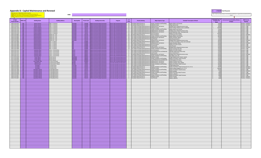#### **Appendix D: Capital Maintenance and Renewal**





Note: include any energy savings or environmental considerations or opportunities associated with the project.

| First: Input your 12 digit project number (no spaces) | Second: Select the specific building from the drop down list (Column D)<br>Third: Input in the number of units pertaining to that specific building (Column J)<br>Fourth: Complete the remainder of the information (Columns K - P) | HMB: |  |  |                |
|-------------------------------------------------------|-------------------------------------------------------------------------------------------------------------------------------------------------------------------------------------------------------------------------------------|------|--|--|----------------|
| <b>AD INCHE</b>                                       |                                                                                                                                                                                                                                     |      |  |  | $\overline{M}$ |

| 12 Digit<br><b>Project Number</b>        | <b>HMB Code</b> | <b>Building Name</b>                        | <b>Building Address</b>                       | Municipality     | <b>Postal Code</b> | <b>Building Ownership</b>                                                                     | Program                                                                | $#$ of<br><b>Units</b> | <b>Priority Ranking</b>                                                                                                                                         | <b>Major Expense Type</b>                                         | "Detailed" Description Of Work                                           | <b>Estimated Cost To</b><br><b>Complete The</b><br>Work | <b>Environment Sustainability (Climate</b><br><b>HMB Priority</b><br>Change)<br>Ranking |
|------------------------------------------|-----------------|---------------------------------------------|-----------------------------------------------|------------------|--------------------|-----------------------------------------------------------------------------------------------|------------------------------------------------------------------------|------------------------|-----------------------------------------------------------------------------------------------------------------------------------------------------------------|-------------------------------------------------------------------|--------------------------------------------------------------------------|---------------------------------------------------------|-----------------------------------------------------------------------------------------|
| 1649-2755-6191                           | TRG             | <b>Spruce Terrace</b>                       | 5002 - 51 Avenue                              | Lacombe          |                    | T4L1B8 Alberta Social Housing Corporation                                                     | <b>Seniors Self Contained Apartments</b>                               |                        | 26 Immediate Needs (Priority 2)                                                                                                                                 | Heating, Ventilation and Plumbing                                 | Replace Boiler and Control:                                              | 75,000                                                  | Priority 2 - Medium                                                                     |
| 1649-2755-6191                           | <b>TBG</b>      | Spruce Terrace                              | 5002 - 51 Avenue                              | Lacombe          |                    | <b>T4L1B8</b> Alberta Social Housing Corporation                                              | Seniors Self Contained Apartments 26 Immediate Needs (Priority 2)      |                        |                                                                                                                                                                 | <b>Building Envelope</b>                                          | Siding replacement                                                       | 70,000                                                  | Priority 2 - Medium                                                                     |
| 1649-2755-6191                           | <b>TBG</b>      | Spruce Terrace<br><b>Cameron Manor</b>      | 5002 - 51 Avenue<br>5326 - 51 Avenue          | acombe<br>acombe |                    | T4L1B8 Alberta Social Housing Corporation                                                     |                                                                        |                        | Seniors Self Contained Apartments   26 Life, Health and Safety Needs (Priority 1) Building-Exterior and Interior                                                |                                                                   | Building interior Repaint/common areas                                   | 30,000                                                  | Priority 1 - High                                                                       |
| 1649-2755-2150 TBG<br>1649-2755-2150     | <b>TBG</b>      | <b>Cameron Manor</b>                        | 5326 - 51 Avenue                              | acombe           |                    | T4L1J6 Alberta Social Housing Corporation<br>T4L1J6 Alberta Social Housing Corporation        | iors Self Contained Apart                                              |                        | eniors Self Contained Apartments 24 Life, Health and Safety Needs (Priority 1) Building Envelope<br>nts 24 Life, Health and Safety Needs (Priority 1)           | Heating, Ventilation and Plumb                                    | Replace Siding, Windows, Doors and Blinds<br>Replace Boiler and Controls | 150,000<br>75,000                                       | Priority 1 - High<br>riority 1 - High                                                   |
| 1649-2755-2150   TBG                     |                 | <b>Cameron Manor</b>                        | 5326 - 51 Avenue                              | acombe           |                    | T4L1J6 Alberta Social Housing Corporation                                                     |                                                                        |                        | niors Self Contained Apartments 24 Life, Health and Safety Needs (Priority 1) Building-Exterior and Interior                                                    |                                                                   | Building interior Repaint/common areas                                   | 20,000                                                  | riority 1 - High                                                                        |
| 1649-2755-2150                           | TBG             | <b>Cameron Manor</b>                        | 5326 - 51 Avenue                              | Lacombe          |                    | T4L1J6 Alberta Social Housing Corporation                                                     |                                                                        |                        | eniors Self Contained Apartments 24 Life. Health and Safety Needs (Priority 1) Building-Exterior and Interior                                                   |                                                                   | Install wheelchair ramp - front/west side                                | 30,000                                                  | Priority 1 - High                                                                       |
| 1649-2755-2150 TRG<br>1649-2755-0005     | <b>TBG</b>      | <b>Cameron Manor</b><br>Parkview Mano       | 5326 - 51 Avenue<br>4508 C.N.F. Trail         | acombe           |                    | T4L1J6 Alberta Social Housing Corporation                                                     | <b>jors Self Contained Apart</b>                                       |                        | Seniors Self Contained Apartments 24 Life, Health and Safety Needs (Priority 1) Electrical Systems<br>ts 40 Immediate Needs (Priority 2)                        |                                                                   | Replace Fire alarm System                                                | 150.000                                                 | Priority 1 - High                                                                       |
| 1649-2755-0005                           | TBG             | Parkview Manor                              | 4508 C.N.E. Trail                             | Lacombe          |                    | T4L1V9 Alberta Social Housing Corporation<br>T4L1V9 Alberta Social Housing Corporation        | eniors Self Contained Apartn                                           |                        | nts 40 Life. Health and Safety Needs (Priority:                                                                                                                 | lectrical Systems<br>Heating, Ventilation and Plumbi              | Install Keyless Entry System<br><b>Replace Boilers and Contro</b>        | 20,000<br>85,00                                         | Priority 2 - Medium<br>Priority 1 - High                                                |
| 1649-2755-0005 TBG                       |                 | Parkview Manor                              | 4508 C.N.E. Trail                             | acombe           |                    | T4L1V9 Alberta Social Housing Corporation                                                     | niors Self Contained Apartm                                            |                        | 40 Life, Health and Safety Needs (Priority 1) Building-Exterior and Interior                                                                                    |                                                                   | Replace Windows, Blinds                                                  | 75.000                                                  | Priority 1 - High                                                                       |
| 1649-2755-0005                           | <b>TBG</b>      | <b>Parkview Manor</b>                       | 4508 C.N.E. Trail                             | Lacombe          |                    | T4L1V9 Alberta Social Housing Corporation                                                     |                                                                        |                        | niors Self Contained Apartments 40 Life, Health and Safety Needs (Priority 1) Suite Renewal                                                                     |                                                                   | Suite Renewal (unit 6)                                                   | 15,000                                                  | Priority 1 - High                                                                       |
| 1649-2755-0005                           | <b>TRG</b>      | Parkview Manor                              | 4508 CN F Trail                               | acombe<br>Aliv.  |                    | T4L1V9 Alberta Social Housing Corporation                                                     | Seniors Self Contained Apartments 40 Immediate Needs (Priority 2)      |                        |                                                                                                                                                                 | Building-Exterior and Interior                                    | Building interior Repaint/common area                                    | 30,000                                                  | Priority 2 - Medium                                                                     |
| 1605-2755-2009 TBG<br>1605-2755-2009     | <b>TBG</b>      | Lakeview Manor<br>Lakeview Manor            | 4817 - 51 Street<br>4817 - 51 Street          |                  |                    | TOCOBO Alberta Social Housing Corporation<br>TOCOBO Alberta Social Housing Corporation        | niors Self Contained Apartm<br>iors Self Contained Apart               | 16                     | 16 Life, Health and Safety Needs (Priority:<br>Immediate Needs (Priority 2)                                                                                     | <b>Building Envelope</b><br><b>Building-Exterior and Interior</b> | Re-enforce foundation, ramps and Landscape<br>Replace Windows, Blinds    | 95,000<br>35,000                                        | Priority 1 - High<br>Priority 2 - Medium                                                |
| 1605-2755-2009   TBG                     |                 | <b>Lakeview Manor</b>                       | 4817 - 51 Street                              |                  |                    | TOCOBO Alberta Social Housing Corporation                                                     | niors Self Contained Apartme                                           |                        | 16 Life, Health and Safety Needs (Priority 1) Electrical Systems                                                                                                |                                                                   | Replace Fire alarm System                                                | 50,000                                                  | Priority 1 - High                                                                       |
| 1605-2755-2009 TBG                       |                 | <b>Lakeview Manor</b>                       | 4817 - 51 Street                              | <b>Alix</b>      |                    | <b>TOCOBO</b> Alberta Social Housing Corporation                                              |                                                                        |                        | ieniors Self Contained Apartments 16 Life. Health and Safety Needs (Priority 1) Suite Renewal                                                                   |                                                                   | Suite Renewal                                                            | 25,000                                                  | Priority 1 - High                                                                       |
| 1605-2755-2009 TBG                       |                 | <b>Lakeview Manor</b>                       | 4817 - 51 Street                              | Aliv.            |                    | TOCOBO Alberta Social Housing Corporation                                                     | ieniors Self Contained Apartments 16 Immediate Needs (Priority 2)      |                        |                                                                                                                                                                 | Building-Exterior and Interior                                    | <b>Building interior Repaint/common areas</b>                            | 20,000                                                  | Priority 2 - Medium                                                                     |
| 1605-2755-2009 TBG<br>1654-2755-2152 TBG |                 | Lakeview Manor<br><b>Lamerton Place</b>     | 4817 - 51 Street<br>Units 1 - 8 Carrol Ave    | Mirror           |                    | TOCOBO Alberta Social Housing Corporation<br>T0B3C0 Alberta Social Housing Corporation        | <b>Jiors Self Contained Apart</b><br>niors Self Contained Apartr       |                        | ts 16 Life, Health and Safety Needs (Priority 1<br><b>15</b> 8 Life, Health and Safety Needs (Priority 1) Electrical Systems                                    | Heating, Ventilation and Plum                                     | Replace Heating Units (16)<br>Replace Fire alarm System                  | 70.00<br>50,000                                         | Priority 1 - High<br>Priority 1 - High                                                  |
| 1654-2755-2152   TBG                     |                 | <b>Lamerton Place</b>                       | Units 1 - 8 Carrol Ave                        |                  |                    | T0B3C0 Alberta Social Housing Corporation                                                     |                                                                        |                        | niors Self Contained Apartments 8 Life, Health and Safety Needs (Priority 1) Ground Maintenance and Materials                                                   |                                                                   | Sidewalk replacement (front only)                                        | 15,000                                                  | Priority 1 - High                                                                       |
| 1654-2755-2152                           | <b>TBG</b>      | <b>Lamerton Place</b>                       | Units 1 - 8 Carrol Ave                        | Mirror           |                    | T0B3C0 Alberta Social Housing Corporation                                                     |                                                                        |                        | niors Self Contained Apartments 8 Life, Health and Safety Needs (Priority 1) Suite Renewal                                                                      |                                                                   | Suite renewal (unit 7)                                                   | 25,000                                                  | Priority 1 - High                                                                       |
| 1654-2755-2152                           | TRG .           | <b>Lamerton Place</b>                       | Linits 1 - 8 Carrol Ave                       | Mirror           |                    | T0B3C0 Alberta Social Housing Corporation                                                     | Seniors Self Contained Apartments 8 118   Immediate Needs (Priority 2) |                        |                                                                                                                                                                 | Building-Exterior and Interior                                    | Building interior Repaint/common areas                                   | 20,000                                                  | Priority 2 - Medium                                                                     |
| 1654-2755-2152 TBG<br>1612-2755-6185     | <b>TBG</b>      | <b>Lamerton Place</b><br><b>Tower Manor</b> | Units 1 - 8 Carrol Ave<br>Shular Avenue       | lackfalds        |                    | T0B3C0 Alberta Social Housing Corporation<br><b>TOMOJO</b> Alberta Social Housing Corporation | niors Self Contained Apartm<br>iors Self Contained Apartn              |                        | 8 Life, Health and Safety Needs (Priority 1<br>nts 4 Life, Health and Safety Needs (Priority 1) Building Envelope                                               | Heating, Ventilation and Plumbin                                  | New Make up air unit<br>Shingle Replacement/ Exterior repaint            | 50.00<br>45,000                                         | Priority 1 - High<br>Priority 1 - High                                                  |
| 1612-2755-6185   TBG                     |                 | <b>Tower Manor</b>                          | Shular Avenue                                 | lackfalds        |                    | <b>TOMOJO</b> Alberta Social Housing Corporation                                              | niors Self Contained Apartments                                        |                        | 4 Life, Health and Safety Needs (Priority 1) Heating, Ventilation and Plumbing                                                                                  |                                                                   | Replace Hot Water Tanks/ Furnaces                                        | 26,000                                                  | Priority 1 - High                                                                       |
| 1612-2755-6185 TBG                       |                 | <b>Tower Manor</b>                          | Shular Avenue                                 | Blackfalds       |                    | <b>TOMOJO</b> Alberta Social Housing Corporation                                              |                                                                        |                        | Seniors Self Contained Apartments 4 Life, Health and Safety Needs (Priority 1) Ground Maintenance and Materials Install property line Fence                     |                                                                   |                                                                          | 20,000                                                  | Priority 1 - High                                                                       |
| 1634-2755-6188                           | <b>TBG</b>      | Lions Golden Villa                          | 52 Ave & 50 Street                            | Eckville         |                    | TOMOXO Alberta Social Housing Corporation                                                     |                                                                        |                        | Seniors Self Contained Apartments 8 Life, Health and Safety Needs (Priority 1) Building-Exterior and Interior                                                   |                                                                   | Replace Window and Doors                                                 | 70,000                                                  | Priority 1 - High                                                                       |
| 1610-2722-6015 TBG<br>1610-2722-6015     | TBG             | <b>Oxford Court</b><br><b>Oxford Court</b>  | 2 Avenue & 47 Street<br>52 Avenue & 47 Street | entley           |                    | TOCOJO Alberta Social Housing Corporation                                                     |                                                                        |                        | nmunity Housing Provincially Owned 6 Life, Health and Safety Needs (Priority 1<br>unity Housing Provincially Owned 6 Life, Health and Safety Needs (Priority 1) | Building-Exterior and Interior                                    | Replace windows, Doors, Blind                                            | 47,000                                                  | Priority 1 - High                                                                       |
| 1649-2731-0029   TBG                     |                 | Lacombe 1                                   | 5 Fairway Drive                               | entley<br>acombe |                    | TOCOJO Alberta Social Housing Corporation<br>T4L1R3 Alberta Social Housing Corporation        |                                                                        |                        | unity Housing Provincially Owned 2 Life, Health and Safety Needs (Priority 1) Roofing                                                                           | Heating, Ventilation and Plumbing                                 | Replace Hot Water Tanks/ Furnaces<br>Shingle Renlacement                 | 38,00<br>15,000                                         | Priority 1 - High<br>Priority 1 - High                                                  |
| 1649-2731-0029 TBG                       |                 | Lacombe 1                                   | 5 Fairway Drive                               | Lacombe          |                    | T4L1R3 Alberta Social Housing Corporation                                                     | mmunity Housing Provincially Owned 2 Immediate Needs (Priority 2)      |                        |                                                                                                                                                                 | Heating, Ventilation and Plumbing                                 | Replace Hot Water Tanks/ Furnaces (13, 15, 17, 5)                        | 40,000                                                  | Priority 2 - Medium                                                                     |
| 1649-2731-0029 TRG                       |                 | Lacombe 1                                   | 5 Fairway Drive                               | acombe           |                    | T4L1R3 Alberta Social Housing Corporation                                                     | ommunity Housing Provincially Owned 2 Immediate Needs (Priority 2)     |                        |                                                                                                                                                                 | <b>Building Envelope</b>                                          | Replace siding, parging (13, 15, 17, 5)                                  | 100.000                                                 | Priority 2 - Medium                                                                     |
| 1649-2731-2309 TBG<br>1649-2731-2309     | <b>TBG</b>      | Lacombe 2 (FCLS)<br>Lacombe 2 (FCLS)        | 32 Woodland Drive<br>32 Woodland Drive        | acombe           |                    | T4L1V5 Alberta Social Housing Corporation                                                     | mmunity Housing Provincially Owned 1 1 Immediate Needs (Priority 2)    |                        | sing Provincially Owned 1 Life, Health and Safety Needs (Priority                                                                                               | Heating, Ventilation and Plur<br><b>Building Envelope</b>         | Replace Hot Water Tanks/Furnaces                                         | 10,000<br>7.50                                          | Priority 1 - High<br>Priority 2 - Medium                                                |
| 1649-2731-6594 TBG                       |                 | Lacombe 3 (FCLS)                            | 31 Woodland Drive                             | acombe           |                    | T4L1V5 Alberta Social Housing Corporation<br><b>T4L1V1</b> Alberta Social Housing Corporation |                                                                        |                        | nity Housing Provincially Owned 1 Life, Health and Safety Needs (Priority 3                                                                                     | Heating, Ventilation and Plu                                      | Replace parging<br>Replace Hot water tanks/ Furnaces                     | 8.000                                                   | Priority 1 - High                                                                       |
| 1649-2731-6594 TBG                       |                 | Lacombe 3 (FCLS)                            | 31 Woodland Drive                             | .acombe          |                    | T4L1V1 Alberta Social Housing Corporation                                                     | mmunity Housing Provincially Owned 1                                   |                        | Immediate Needs (Priority 2)                                                                                                                                    | Suite Renewal                                                     | Replace cabinetry                                                        | 8.000                                                   | Priority 2 - Medium                                                                     |
| 1649-2731-6627                           | <b>TRG</b>      | Lacombe 4 (FCLS)                            | 35 Woodland Drive                             | acombe           |                    | T4L1V5 Alberta Social Housing Corporation                                                     |                                                                        |                        | mmunity Housing Provincially Owned 1 Life, Health and Safety Needs (Priority                                                                                    | Heating, Ventilation and Plumbing                                 | Replace Hot Water Tanks/ Furnaces                                        | 8,000                                                   | Priority 1 - High                                                                       |
| 1649-2731-6627 TBG<br>1649-2731-6627     | <b>TBG</b>      | Lacombe 4 (FCLS)<br>Lacombe 4 (FCLS)        | 35 Woodland Drive<br>5 Woodland Drive         | acombe           |                    | T4L1V5 Alberta Social Housing Corporation                                                     | Immediate Needs (Priority 2) Priority 2)                               |                        |                                                                                                                                                                 | uilding Envelop<br>uite Renewal                                   | <b>Replace Parging</b>                                                   | 7.500                                                   | Priority 2 - Medium                                                                     |
|                                          |                 |                                             |                                               | :ombe            |                    | T4L1V5 Alberta Social Housing Corporation                                                     |                                                                        |                        | nunity Housing Provincially Owned 1 1 Immediate Needs (Priority 2)                                                                                              |                                                                   | Replace cabinetry                                                        | 8,000                                                   | riority 2 - Medium                                                                      |
|                                          |                 |                                             |                                               |                  |                    |                                                                                               |                                                                        |                        |                                                                                                                                                                 |                                                                   |                                                                          |                                                         |                                                                                         |
|                                          |                 |                                             |                                               |                  |                    |                                                                                               |                                                                        |                        |                                                                                                                                                                 |                                                                   |                                                                          |                                                         |                                                                                         |
|                                          |                 |                                             |                                               |                  |                    |                                                                                               |                                                                        |                        |                                                                                                                                                                 |                                                                   |                                                                          |                                                         |                                                                                         |
|                                          |                 |                                             |                                               |                  |                    |                                                                                               |                                                                        |                        |                                                                                                                                                                 |                                                                   |                                                                          |                                                         |                                                                                         |
|                                          |                 |                                             |                                               |                  |                    |                                                                                               |                                                                        |                        |                                                                                                                                                                 |                                                                   |                                                                          |                                                         |                                                                                         |
|                                          |                 |                                             |                                               |                  |                    |                                                                                               |                                                                        |                        |                                                                                                                                                                 |                                                                   |                                                                          |                                                         |                                                                                         |
|                                          |                 |                                             |                                               |                  |                    |                                                                                               |                                                                        |                        |                                                                                                                                                                 |                                                                   |                                                                          |                                                         |                                                                                         |
|                                          |                 |                                             |                                               |                  |                    |                                                                                               |                                                                        |                        |                                                                                                                                                                 |                                                                   |                                                                          |                                                         |                                                                                         |
|                                          |                 |                                             |                                               |                  |                    |                                                                                               |                                                                        |                        |                                                                                                                                                                 |                                                                   |                                                                          |                                                         |                                                                                         |
|                                          |                 |                                             |                                               |                  |                    |                                                                                               |                                                                        |                        |                                                                                                                                                                 |                                                                   |                                                                          |                                                         |                                                                                         |
|                                          |                 |                                             |                                               |                  |                    |                                                                                               |                                                                        |                        |                                                                                                                                                                 |                                                                   |                                                                          |                                                         |                                                                                         |
|                                          |                 |                                             |                                               |                  |                    |                                                                                               |                                                                        |                        |                                                                                                                                                                 |                                                                   |                                                                          |                                                         |                                                                                         |
|                                          |                 |                                             |                                               |                  |                    |                                                                                               |                                                                        |                        |                                                                                                                                                                 |                                                                   |                                                                          |                                                         |                                                                                         |
|                                          |                 |                                             |                                               |                  |                    |                                                                                               |                                                                        |                        |                                                                                                                                                                 |                                                                   |                                                                          |                                                         |                                                                                         |
|                                          |                 |                                             |                                               |                  |                    |                                                                                               |                                                                        |                        |                                                                                                                                                                 |                                                                   |                                                                          |                                                         |                                                                                         |
|                                          |                 |                                             |                                               |                  |                    |                                                                                               |                                                                        |                        |                                                                                                                                                                 |                                                                   |                                                                          |                                                         |                                                                                         |
|                                          |                 |                                             |                                               |                  |                    |                                                                                               |                                                                        |                        |                                                                                                                                                                 |                                                                   |                                                                          |                                                         |                                                                                         |
|                                          |                 |                                             |                                               |                  |                    |                                                                                               |                                                                        |                        |                                                                                                                                                                 |                                                                   |                                                                          |                                                         |                                                                                         |
|                                          |                 |                                             |                                               |                  |                    |                                                                                               |                                                                        |                        |                                                                                                                                                                 |                                                                   |                                                                          |                                                         |                                                                                         |
|                                          |                 |                                             |                                               |                  |                    |                                                                                               |                                                                        |                        |                                                                                                                                                                 |                                                                   |                                                                          |                                                         |                                                                                         |
|                                          |                 |                                             |                                               |                  |                    |                                                                                               |                                                                        |                        |                                                                                                                                                                 |                                                                   |                                                                          |                                                         |                                                                                         |
|                                          |                 |                                             |                                               |                  |                    |                                                                                               |                                                                        |                        |                                                                                                                                                                 |                                                                   |                                                                          |                                                         |                                                                                         |
|                                          |                 |                                             |                                               |                  |                    |                                                                                               |                                                                        |                        |                                                                                                                                                                 |                                                                   |                                                                          |                                                         |                                                                                         |
|                                          |                 |                                             |                                               |                  |                    |                                                                                               |                                                                        |                        |                                                                                                                                                                 |                                                                   |                                                                          |                                                         |                                                                                         |
|                                          |                 |                                             |                                               |                  |                    |                                                                                               |                                                                        |                        |                                                                                                                                                                 |                                                                   |                                                                          |                                                         |                                                                                         |
|                                          |                 |                                             |                                               |                  |                    |                                                                                               |                                                                        |                        |                                                                                                                                                                 |                                                                   |                                                                          |                                                         |                                                                                         |
|                                          |                 |                                             |                                               |                  |                    |                                                                                               |                                                                        |                        |                                                                                                                                                                 |                                                                   |                                                                          |                                                         |                                                                                         |
|                                          |                 |                                             |                                               |                  |                    |                                                                                               |                                                                        |                        |                                                                                                                                                                 |                                                                   |                                                                          |                                                         |                                                                                         |
|                                          |                 |                                             |                                               |                  |                    |                                                                                               |                                                                        |                        |                                                                                                                                                                 |                                                                   |                                                                          |                                                         |                                                                                         |
|                                          |                 |                                             |                                               |                  |                    |                                                                                               |                                                                        |                        |                                                                                                                                                                 |                                                                   |                                                                          |                                                         |                                                                                         |
|                                          |                 |                                             |                                               |                  |                    |                                                                                               |                                                                        |                        |                                                                                                                                                                 |                                                                   |                                                                          |                                                         |                                                                                         |
|                                          |                 |                                             |                                               |                  |                    |                                                                                               |                                                                        |                        |                                                                                                                                                                 |                                                                   |                                                                          |                                                         |                                                                                         |
|                                          |                 |                                             |                                               |                  |                    |                                                                                               |                                                                        |                        |                                                                                                                                                                 |                                                                   |                                                                          |                                                         |                                                                                         |
|                                          |                 |                                             |                                               |                  |                    |                                                                                               |                                                                        |                        |                                                                                                                                                                 |                                                                   |                                                                          |                                                         |                                                                                         |
|                                          |                 |                                             |                                               |                  |                    |                                                                                               |                                                                        |                        |                                                                                                                                                                 |                                                                   |                                                                          |                                                         |                                                                                         |
|                                          |                 |                                             |                                               |                  |                    |                                                                                               |                                                                        |                        |                                                                                                                                                                 |                                                                   |                                                                          |                                                         |                                                                                         |
|                                          |                 |                                             |                                               |                  |                    |                                                                                               |                                                                        |                        |                                                                                                                                                                 |                                                                   |                                                                          |                                                         |                                                                                         |
|                                          |                 |                                             |                                               |                  |                    |                                                                                               |                                                                        |                        |                                                                                                                                                                 |                                                                   |                                                                          |                                                         |                                                                                         |
|                                          |                 |                                             |                                               |                  |                    |                                                                                               |                                                                        |                        |                                                                                                                                                                 |                                                                   |                                                                          |                                                         |                                                                                         |
|                                          |                 |                                             |                                               |                  |                    |                                                                                               |                                                                        |                        |                                                                                                                                                                 |                                                                   |                                                                          |                                                         |                                                                                         |
|                                          |                 |                                             |                                               |                  |                    |                                                                                               |                                                                        |                        |                                                                                                                                                                 |                                                                   |                                                                          |                                                         |                                                                                         |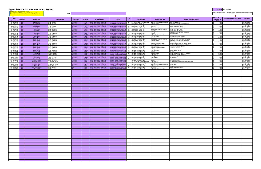**HMB:**  First: Input your 12 digit project number (no spaces)<br><mark>Second:</mark> Select the specific building from the drop down list (Column D)<br>T**hird**: Input in the number of units pertaining to that specific building (Column J)<br><mark>Fourth:</mark>

| 12 Digit<br><b>Project Number</b> | <b>HMB Code</b>          | <b>Building Name</b>                       | <b>Building Address</b>                  | <b>Municipality</b>      | <b>Postal Code</b>             | <b>Building Ownership</b>                                                              | Program                                                                                              | # of<br><b>Units</b> | <b>Priority Ranking</b>                                                     | <b>Major Expense Type</b>                                                      | "Detailed" Description Of Work                                                 | <b>Stimated Cost To</b><br><b>Complete The</b> | <b>Environment Sustainability (Climate</b><br>Change) | <b>HMB Priority</b><br>Ranking           |
|-----------------------------------|--------------------------|--------------------------------------------|------------------------------------------|--------------------------|--------------------------------|----------------------------------------------------------------------------------------|------------------------------------------------------------------------------------------------------|----------------------|-----------------------------------------------------------------------------|--------------------------------------------------------------------------------|--------------------------------------------------------------------------------|------------------------------------------------|-------------------------------------------------------|------------------------------------------|
| 1197-2755-2100                    | <b>TBG</b>               | Kiwanis Kourt                              | 5203 - 55 Street                         | Wetaskiwin               |                                | T9A2J6 Alberta Social Housing Corporation                                              | eniors Self Contained Apartments                                                                     |                      |                                                                             | 24 Life, Health and Safety Needs (Priority 1) Ground Maintenance and Materials |                                                                                | Work                                           |                                                       |                                          |
| 1197-2755-2100                    | <b>TBG</b>               | Kiwanis Kourt                              | 5203 - 55 Street                         | Wetaskiwin               |                                | T9A2J6 Alberta Social Housing Corporation                                              | niors Self Contained Apartments                                                                      |                      | 24 General Needs (Priority 3)                                               | <b>Building Envelope</b>                                                       | Sidewalk Replacement<br>Ipgrade Attic Insulation and Ventilation               | 20,000<br>25,000                               |                                                       | Priority 1 - High<br>Priority 2 - Medium |
| 1197-2755-2100                    | TBG                      | Kiwanis Kourt                              | 5203 - 55 Street                         | Wetaskiwin               |                                | T9A2J6 Alberta Social Housing Corporation                                              | eniors Self Contained Apartments                                                                     | 24                   | Immediate Needs (Priority 2)                                                | <b>Electrical Systems</b>                                                      | nstall Automatic Doors                                                         | 10,000                                         |                                                       | Priority 1 - High                        |
| 1197-2755-2100                    | TBG                      | Kiwanis Kourt                              | 5203 - 55 Street                         | Wetaskiwin               | <b>T9A2J6</b>                  | Alberta Social Housing Corporation                                                     | niors Self Contained Apartments                                                                      | 24                   | General Needs (Priority 3)                                                  | Mechanical                                                                     | eplace Boilers and Control:                                                    | 80,000                                         |                                                       | Priority 2 - Medium                      |
| 1197-2755-2194                    | <b>TBG</b>               | <b>Legion Arms</b>                         | 5215 - 55 Avenue<br>5215 - 55 Avenue     | Wetaskiwin<br>Wetaskiwin |                                | T9A3A7 Alberta Social Housing Corporation                                              | eniors Self Contained Apartments<br>eniors Self Contained Apartments                                 |                      | 50 Immediate Needs (Priority 2)                                             | Heating, Ventilation and Plumbing                                              | Replace Hot water and Recirc Lines                                             | 40,000                                         |                                                       | Priority 1 - High<br>Priority 2 - Medium |
| 1197-2755-2194<br>1197-2755-2194  | TBG<br><b>TBG</b>        | <b>Legion Arms</b><br><b>Legion Arms</b>   | 5215 - 55 Avenue                         | Wetaskiwin               |                                | T9A3A7 Alberta Social Housing Corporation<br>T9A3A7 Alberta Social Housing Corporation | niors Self Contained Apartments                                                                      | 50                   | 50 General Needs (Priority 3)<br>General Needs (Priority 3)                 | Heating, Ventilation and Plumbing<br>Mechanical                                | Replace Make up Air Unit<br>eplace Boiler and Control:                         | 70,000<br>100,000                              |                                                       | Priority 2 - Medium                      |
| 1197-2755-2194                    | TBG                      | <b>Legion Arms</b>                         | 5215 - 55 Avenue                         | Wetaskiwin               |                                | T9A3A7 Alberta Social Housing Corporation                                              | eniors Self Contained Apartments 50                                                                  |                      | General Needs (Priority 3)                                                  | <b>Building Envelope</b>                                                       | Ipgrade Attic Insulation and Ventilation                                       | 80.000                                         |                                                       | Priority 2 - Medium                      |
| 1197-2755-2194                    | TBG                      | <b>Legion Arms</b>                         | 5215 - 55 Avenue                         | Wetaskiwin               |                                | <b>T9A3A7</b> Alberta Social Housing Corporation                                       | niors Self Contained Apartments                                                                      |                      | 50 Immediate Needs (Priority 2)                                             | Elevators                                                                      | levator Upgrade                                                                | 250,000                                        |                                                       | Priority 1 - High                        |
| 1197-2755-2194                    | TBG                      | <b>Legion Arms</b>                         | 5215 - 55 Avenue                         | Wetaskiwin               |                                | <b>T9A3A7</b> Alberta Social Housing Corporation                                       | niors Self Contained Apartments                                                                      |                      | 50 General Needs (Priority 3)                                               | Building-Exterior and Interior                                                 | Paint Common Areas                                                             | 30,000                                         |                                                       | Priority 2 - Medium                      |
| 1197-2755-2194<br>1197-2755-2195  | <b>TBG</b><br><b>TBG</b> | <b>Legion Arms</b><br><b>Luther Manor</b>  | 5215 - 55 Avenue<br>5410 - 39 Avenue     | Wetaskiwin<br>Wetaskiwin | <b>T9A3A6</b>                  | <b>T9A3A7</b> Alberta Social Housing Corporation<br>Alberta Social Housing Corporation | niors Self Contained Apartments 50 Immediate Needs (Priority 2)<br>niors Self Contained Apartments   | 50                   | General Needs (Priority 3)                                                  | <b>Electrical Systems</b><br>Mechanical                                        | Install Automatic Door Openers<br>Replace Boiler and Controls                  | 12,000<br>100.000                              |                                                       | Priority 1 - High<br>Priority 2 - Medium |
| 1197-2755-2195                    | TBG                      | <b>Luther Manor</b>                        | 5410 - 39 Avenue                         | Wetaskiwin               | <b>T9A3A6</b>                  | <b>Alberta Social Housing Corporation</b>                                              | eniors Self Contained Apartments                                                                     | 50                   | Immediate Needs (Priority 2)                                                | Heating, Ventilation and Plumbing                                              | Replace Hot Water Supply and Recirc Lines                                      | 40,000                                         |                                                       | Priority 1 - High                        |
| 1197-2755-2195                    | TBG                      | <b>Luther Manor</b>                        | 5410 - 39 Avenue                         | Wetaskiwin               | <b>T9A3A6</b>                  | Alberta Social Housing Corporation                                                     | niors Self Contained Apartments                                                                      | 50                   | General Needs (Priority 3)                                                  | <b>Building Envelope</b>                                                       | Ipgrade Attic Insulation and Ventilation                                       | 35,000                                         |                                                       | Priority 2 - Medium                      |
| 1197-2755-2195                    | TBG                      | <b>Luther Manor</b>                        | 5410 - 39 Avenue                         | Wetaskiwin               |                                | T9A3A6 Alberta Social Housing Corporation                                              | eniors Self Contained Apartments                                                                     |                      | 50 Immediate Needs (Priority 2)                                             | Elevators                                                                      | Elevator Upgrade                                                               | 250,000                                        |                                                       | Priority 1 - High                        |
| 1197-2755-2195                    | TBG                      | <b>Luther Manor</b>                        | 5410 - 39 Avenue                         | Wetaskiwin               |                                | T9A3A6 Alberta Social Housing Corporation                                              | eniors Self Contained Apartments 50 Immediate Needs (Priority 2)                                     |                      |                                                                             | Building-Exterior and Interior                                                 | Renovate Front Entrance and Replace Awning                                     | 90,000                                         |                                                       | Priority 1 - High                        |
| 1197-2755-2195<br>1197-2755-2195  | TBG <b>T</b><br>TBG      | <b>Luther Manor</b><br><b>Luther Manor</b> | 5410 - 39 Avenue<br>5410 - 39 Avenue     | Wetaskiwin<br>Wetaskiwin |                                | T9A3A6 Alberta Social Housing Corporation<br>T9A3A6 Alberta Social Housing Corporation | niors Self Contained Apartments 50 General Needs (Priority 3)<br>eniors Self Contained Apartments 50 |                      | Immediate Needs (Priority 2)                                                | <b>Electrical Systems</b><br><b>Electrical Systems</b>                         | nstall new Lighting in all Common Areas<br>Install Automatic Door Openers      | 25,000<br>12,000                               |                                                       | Priority 1 - High<br>Priority 1 - High   |
| 1197-2755-2195                    | TBG                      | <b>Luther Manor</b>                        | 5410 - 39 Avenue                         | Wetaskiwin               | <b>T9A3A6</b>                  | Alberta Social Housing Corporation                                                     | niors Self Contained Apartments                                                                      | 50                   | General Needs (Priority 3)                                                  | <b>Building-Exterior and Interior</b>                                          | Paint Common Areas                                                             | 40,000                                         |                                                       | Priority 2 - Mediun                      |
| 1197-2755-2195                    | TBG                      | <b>Luther Manor</b>                        | 5410 - 39 Avenue                         | <b>Wetaskiwin</b>        |                                | T9A3A6 Alberta Social Housing Corporation                                              | niors Self Contained Apartments                                                                      |                      | 50 Immediate Needs (Priority 2)                                             | <b>Building Envelope</b>                                                       | eplace Windows and Blinds                                                      | 200,000                                        |                                                       | Priority 1 - High                        |
| 1197-2755-2195                    | TBG <b>T</b>             | <b>Luther Manor</b>                        | 5410 - 39 Avenue                         | Wetaskiwin               |                                | T9A3A6 Alberta Social Housing Corporation                                              | niors Self Contained Apartments                                                                      | 50                   | Immediate Needs (Priority 2)                                                | <b>Electrical Systems</b>                                                      | Replace Exterior Lighting                                                      | 30,000                                         |                                                       | Priority 2 - Medium                      |
| 1197-2731-0024                    | <b>TBG</b>               | Wetaskiwin 1                               | 102 Lilac Crescent                       | Wetaskiwin               | <b>T9A2E2</b>                  | Alberta Social Housing Corporation                                                     | nmunity Housing Provincially Owned                                                                   | 20                   | Immediate Needs (Priority 2)                                                | Roofing                                                                        | Shingle Replacement                                                            | 50.000                                         |                                                       | Priority 1 - High                        |
| 1197-2731-0024<br>1197-2731-0024  | TBG<br>TBG               | Wetaskiwin 1<br>Wetaskiwin 1               | 102 Lilac Crescent<br>102 Lilac Crescent | Wetaskiwin<br>Wetaskiwin | <b>T9A2E2</b><br><b>T9A2E2</b> | Alberta Social Housing Corporation<br><b>Alberta Social Housing Corporation</b>        | mmunity Housing Provincially Owned<br>munity Housing Provincially Owned                              | 20<br>20             | Immediate Needs (Priority 2)<br>Immediate Needs (Priority 2)                | <b>Building Envelope</b><br>Suite Renewal                                      | Replace Exterior, Patio Doors and Windows<br>uite Renewal to unihabital suites | 100,000<br>100,000                             |                                                       | Priority 1 - High<br>Priority 1 - High   |
| 1197-2731-0052                    | TBG                      | Wetaskiwin 2                               | 5601 - 55A Street                        | Wetaskiwin               |                                | T9A2A8 Alberta Social Housing Corporation                                              | ommunity Housing Provincially Owned                                                                  | 8 <sup>2</sup>       | Immediate Needs (Priority 2)                                                | <b>Building Envelope</b>                                                       | Replace Exterior, Patio Doors and Windows                                      | 80,000                                         |                                                       | Priority 1 - High                        |
| 1197-2731-0052                    | <b>TBG</b>               | Wetaskiwin 2                               | 5601 - 55A Street                        | Wetaskiwin               |                                | T9A2A8 Alberta Social Housing Corporation                                              | mmunity Housing Provincially Owned                                                                   | 8 <sub>1</sub>       | Immediate Needs (Priority 2)                                                | Suite Renewal                                                                  | Suite Renewal                                                                  | 80,000                                         |                                                       | Priority 1 - High                        |
| 1197-2731-2076                    | <b>TBG</b>               | Wetaskiwin 3                               | 5703 - 52 Street                         | Wetaskiwin               |                                | T9A3A1 Alberta Social Housing Corporation                                              | nmunity Housing Provincially Owned                                                                   | 12                   | Immediate Needs (Priority 2)                                                | Mechanical                                                                     | Replace Boiler and Controls                                                    | 60.000                                         |                                                       | Priority 1 - High                        |
| 1197-2731-2265                    | TBG<br>TBG               | Wetaskiwin 4 (FCLS)<br>Wetaskiwin 5 (FCLS) | 5634 - 55A Street<br>217 Garnet Crescent | Wetaskiwin               |                                | T9A2A9 Alberta Social Housing Corporation                                              | mmunity Housing Provincially Owned                                                                   | $\overline{2}$<br>6  | Immediate Needs (Priority 2)<br>Life, Health and Safety Needs (Priority:    | Roofing<br>Suite Renewal                                                       | Shingle Replacement                                                            | 18,000                                         |                                                       | Priority 1 - High                        |
| 1197-2731-2573<br>1197-2731-2573  | <b>TBG</b>               | Wetaskiwin 5 (FCLS)                        | 217 Garnet Crescent                      | Wetaskiwin<br>Wetaskiwin |                                | T9A2S3 Alberta Social Housing Corporation<br>T9A2S3 Alberta Social Housing Corporation | <b>Inity Housing Provincially Owned</b><br>mmunity Housing Provincially Owned                        |                      | 6 Life, Health and Safety Needs (Priority 1) Building-Exterior and Interior |                                                                                | enewal of Suite interiors and Mold Remediation<br>eplace Sidewalks and Steps   | 80,000<br>25,000                               |                                                       | Priority 1 - High<br>Priority 1 - High   |
| 1197-2731-2573                    | <b>TBG</b>               | Wetaskiwin 5 (FCLS)                        | 217 Garnet Crescent                      | Wetaskiwin               |                                | T9A2S3 Alberta Social Housing Corporation                                              | munity Housing Provincially Owned                                                                    | 6                    | Immediate Needs (Priority 2)                                                | Ground Maintenance and Materials                                               | Replace Fence                                                                  | 36,000                                         |                                                       | Priority 1 - High                        |
| 1154-2755-2151                    | <b>TBG</b>               | John A. Smith Manor                        | 5215 - 51 Street                         | Millet                   | <b>TOC1Z0</b>                  | Alberta Social Housing Corporation                                                     | niors Self Contained Apartments                                                                      | 12                   | Immediate Needs (Priority 2)                                                | <b>Building Envelope</b>                                                       | Siding Replacement                                                             | 35,000                                         |                                                       | Priority 2 - Medium                      |
| 1154-2755-2151                    | TBG                      | John A. Smith Manor                        | 5215 - 51 Street                         | <i>Aillet</i>            | <b>TOC1ZO</b>                  | Alberta Social Housing Corporation                                                     | eniors Self Contained Apartments                                                                     | 12                   | Immediate Needs (Priority 2)                                                | Mechanical                                                                     | eplace Boilers and Controls.                                                   | 50,000                                         |                                                       | Priority 2 - Medium                      |
| 1154-2722-3095                    | TBG                      | Millet R&N 2                               | 126 Porter Avenue                        | <b>Aillet</b>            | <b>TOC1ZO</b>                  | Alberta Social Housing Corporation                                                     | nmunity Housing Provincially Owned                                                                   | $\mathbf{1}$         | Immediate Needs (Priority 2)                                                | Building-Exterior and Interior                                                 | eplace Fence                                                                   | 15,000                                         |                                                       | Priority 1 - High                        |
|                                   |                          |                                            |                                          |                          |                                |                                                                                        |                                                                                                      |                      |                                                                             |                                                                                |                                                                                |                                                |                                                       |                                          |
|                                   |                          |                                            |                                          |                          |                                |                                                                                        |                                                                                                      |                      |                                                                             |                                                                                |                                                                                |                                                |                                                       |                                          |
|                                   |                          |                                            |                                          |                          |                                |                                                                                        |                                                                                                      |                      |                                                                             |                                                                                |                                                                                |                                                |                                                       |                                          |
|                                   |                          |                                            |                                          |                          |                                |                                                                                        |                                                                                                      |                      |                                                                             |                                                                                |                                                                                |                                                |                                                       |                                          |
|                                   |                          |                                            |                                          |                          |                                |                                                                                        |                                                                                                      |                      |                                                                             |                                                                                |                                                                                |                                                |                                                       |                                          |
|                                   |                          |                                            |                                          |                          |                                |                                                                                        |                                                                                                      |                      |                                                                             |                                                                                |                                                                                |                                                |                                                       |                                          |
|                                   |                          |                                            |                                          |                          |                                |                                                                                        |                                                                                                      |                      |                                                                             |                                                                                |                                                                                |                                                |                                                       |                                          |
|                                   |                          |                                            |                                          |                          |                                |                                                                                        |                                                                                                      |                      |                                                                             |                                                                                |                                                                                |                                                |                                                       |                                          |
|                                   |                          |                                            |                                          |                          |                                |                                                                                        |                                                                                                      |                      |                                                                             |                                                                                |                                                                                |                                                |                                                       |                                          |
|                                   |                          |                                            |                                          |                          |                                |                                                                                        |                                                                                                      |                      |                                                                             |                                                                                |                                                                                |                                                |                                                       |                                          |
|                                   |                          |                                            |                                          |                          |                                |                                                                                        |                                                                                                      |                      |                                                                             |                                                                                |                                                                                |                                                |                                                       |                                          |
|                                   |                          |                                            |                                          |                          |                                |                                                                                        |                                                                                                      |                      |                                                                             |                                                                                |                                                                                |                                                |                                                       |                                          |
|                                   |                          |                                            |                                          |                          |                                |                                                                                        |                                                                                                      |                      |                                                                             |                                                                                |                                                                                |                                                |                                                       |                                          |
|                                   |                          |                                            |                                          |                          |                                |                                                                                        |                                                                                                      |                      |                                                                             |                                                                                |                                                                                |                                                |                                                       |                                          |
|                                   |                          |                                            |                                          |                          |                                |                                                                                        |                                                                                                      |                      |                                                                             |                                                                                |                                                                                |                                                |                                                       |                                          |
|                                   |                          |                                            |                                          |                          |                                |                                                                                        |                                                                                                      |                      |                                                                             |                                                                                |                                                                                |                                                |                                                       |                                          |
|                                   |                          |                                            |                                          |                          |                                |                                                                                        |                                                                                                      |                      |                                                                             |                                                                                |                                                                                |                                                |                                                       |                                          |
|                                   |                          |                                            |                                          |                          |                                |                                                                                        |                                                                                                      |                      |                                                                             |                                                                                |                                                                                |                                                |                                                       |                                          |
|                                   |                          |                                            |                                          |                          |                                |                                                                                        |                                                                                                      |                      |                                                                             |                                                                                |                                                                                |                                                |                                                       |                                          |
|                                   |                          |                                            |                                          |                          |                                |                                                                                        |                                                                                                      |                      |                                                                             |                                                                                |                                                                                |                                                |                                                       |                                          |
|                                   |                          |                                            |                                          |                          |                                |                                                                                        |                                                                                                      |                      |                                                                             |                                                                                |                                                                                |                                                |                                                       |                                          |
|                                   |                          |                                            |                                          |                          |                                |                                                                                        |                                                                                                      |                      |                                                                             |                                                                                |                                                                                |                                                |                                                       |                                          |
|                                   |                          |                                            |                                          |                          |                                |                                                                                        |                                                                                                      |                      |                                                                             |                                                                                |                                                                                |                                                |                                                       |                                          |
|                                   |                          |                                            |                                          |                          |                                |                                                                                        |                                                                                                      |                      |                                                                             |                                                                                |                                                                                |                                                |                                                       |                                          |
|                                   |                          |                                            |                                          |                          |                                |                                                                                        |                                                                                                      |                      |                                                                             |                                                                                |                                                                                |                                                |                                                       |                                          |
|                                   |                          |                                            |                                          |                          |                                |                                                                                        |                                                                                                      |                      |                                                                             |                                                                                |                                                                                |                                                |                                                       |                                          |
|                                   |                          |                                            |                                          |                          |                                |                                                                                        |                                                                                                      |                      |                                                                             |                                                                                |                                                                                |                                                |                                                       |                                          |
|                                   |                          |                                            |                                          |                          |                                |                                                                                        |                                                                                                      |                      |                                                                             |                                                                                |                                                                                |                                                |                                                       |                                          |
|                                   |                          |                                            |                                          |                          |                                |                                                                                        |                                                                                                      |                      |                                                                             |                                                                                |                                                                                |                                                |                                                       |                                          |
|                                   |                          |                                            |                                          |                          |                                |                                                                                        |                                                                                                      |                      |                                                                             |                                                                                |                                                                                |                                                |                                                       |                                          |
|                                   |                          |                                            |                                          |                          |                                |                                                                                        |                                                                                                      |                      |                                                                             |                                                                                |                                                                                |                                                |                                                       |                                          |
|                                   |                          |                                            |                                          |                          |                                |                                                                                        |                                                                                                      |                      |                                                                             |                                                                                |                                                                                |                                                |                                                       |                                          |
|                                   |                          |                                            |                                          |                          |                                |                                                                                        |                                                                                                      |                      |                                                                             |                                                                                |                                                                                |                                                |                                                       |                                          |
|                                   |                          |                                            |                                          |                          |                                |                                                                                        |                                                                                                      |                      |                                                                             |                                                                                |                                                                                |                                                |                                                       |                                          |
|                                   |                          |                                            |                                          |                          |                                |                                                                                        |                                                                                                      |                      |                                                                             |                                                                                |                                                                                |                                                |                                                       |                                          |
|                                   |                          |                                            |                                          |                          |                                |                                                                                        |                                                                                                      |                      |                                                                             |                                                                                |                                                                                |                                                |                                                       |                                          |
|                                   |                          |                                            |                                          |                          |                                |                                                                                        |                                                                                                      |                      |                                                                             |                                                                                |                                                                                |                                                |                                                       |                                          |
|                                   |                          |                                            |                                          |                          |                                |                                                                                        |                                                                                                      |                      |                                                                             |                                                                                |                                                                                |                                                |                                                       |                                          |
|                                   |                          |                                            |                                          |                          |                                |                                                                                        |                                                                                                      |                      |                                                                             |                                                                                |                                                                                |                                                |                                                       |                                          |
|                                   |                          |                                            |                                          |                          |                                |                                                                                        |                                                                                                      |                      |                                                                             |                                                                                |                                                                                |                                                |                                                       |                                          |
|                                   |                          |                                            |                                          |                          |                                |                                                                                        |                                                                                                      |                      |                                                                             |                                                                                |                                                                                |                                                |                                                       |                                          |
|                                   |                          |                                            |                                          |                          |                                |                                                                                        |                                                                                                      |                      |                                                                             |                                                                                |                                                                                |                                                |                                                       |                                          |
|                                   |                          |                                            |                                          |                          |                                |                                                                                        |                                                                                                      |                      |                                                                             |                                                                                |                                                                                |                                                |                                                       |                                          |
|                                   |                          |                                            |                                          |                          |                                |                                                                                        |                                                                                                      |                      |                                                                             |                                                                                |                                                                                |                                                |                                                       |                                          |
|                                   |                          |                                            |                                          |                          |                                |                                                                                        |                                                                                                      |                      |                                                                             |                                                                                |                                                                                |                                                |                                                       |                                          |
|                                   |                          |                                            |                                          |                          |                                |                                                                                        |                                                                                                      |                      |                                                                             |                                                                                |                                                                                |                                                |                                                       |                                          |
|                                   |                          |                                            |                                          |                          |                                |                                                                                        |                                                                                                      |                      |                                                                             |                                                                                |                                                                                |                                                |                                                       |                                          |
|                                   |                          |                                            |                                          |                          |                                |                                                                                        |                                                                                                      |                      |                                                                             |                                                                                |                                                                                |                                                |                                                       |                                          |
|                                   |                          |                                            |                                          |                          |                                |                                                                                        |                                                                                                      |                      |                                                                             |                                                                                |                                                                                |                                                |                                                       |                                          |
|                                   |                          |                                            |                                          |                          |                                |                                                                                        |                                                                                                      |                      |                                                                             |                                                                                |                                                                                |                                                |                                                       |                                          |
|                                   |                          |                                            |                                          |                          |                                |                                                                                        |                                                                                                      |                      |                                                                             |                                                                                |                                                                                |                                                |                                                       |                                          |
|                                   |                          |                                            |                                          |                          |                                |                                                                                        |                                                                                                      |                      |                                                                             |                                                                                |                                                                                |                                                |                                                       |                                          |
|                                   |                          |                                            |                                          |                          |                                |                                                                                        |                                                                                                      |                      |                                                                             |                                                                                |                                                                                |                                                |                                                       |                                          |
|                                   |                          |                                            |                                          |                          |                                |                                                                                        |                                                                                                      |                      |                                                                             |                                                                                |                                                                                |                                                |                                                       |                                          |

Note: include any energy savings or environmental considerations or opportunities associated with this project.

#### **Appendix D: Capital Maintenance and Renewal**